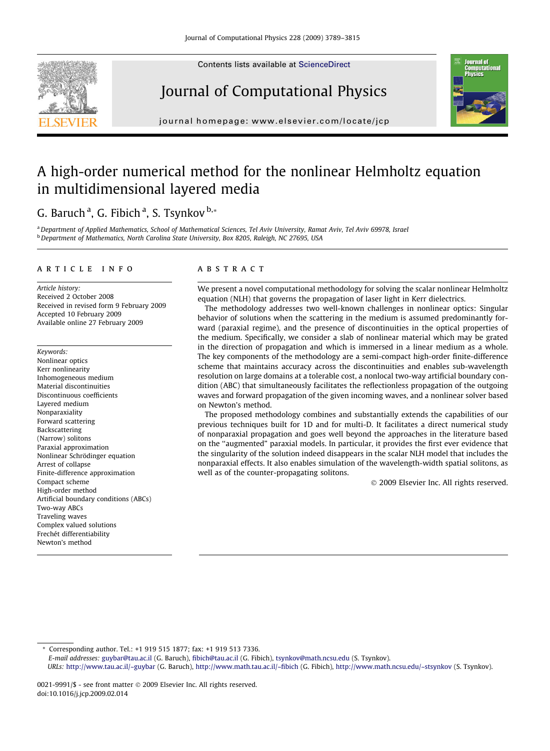Contents lists available at [ScienceDirect](http://www.sciencedirect.com/science/journal/00219991)







journal homepage: [www.elsevier.com/locate/jcp](http://www.elsevier.com/locate/jcp)

# A high-order numerical method for the nonlinear Helmholtz equation in multidimensional layered media

# G. Baruch <sup>a</sup>, G. Fibich <sup>a</sup>, S. Tsynkov <sup>b,</sup>\*

a Department of Applied Mathematics, School of Mathematical Sciences, Tel Aviv University, Ramat Aviv, Tel Aviv 69978, Israel b Department of Mathematics, North Carolina State University, Box 8205, Raleigh, NC 27695, USA

#### article info

Article history: Received 2 October 2008 Received in revised form 9 February 2009 Accepted 10 February 2009 Available online 27 February 2009

Keywords: Nonlinear optics Kerr nonlinearity Inhomogeneous medium Material discontinuities Discontinuous coefficients Layered medium Nonparaxiality Forward scattering Backscattering (Narrow) solitons Paraxial approximation Nonlinear Schrödinger equation Arrest of collapse Finite-difference approximation Compact scheme High-order method Artificial boundary conditions (ABCs) Two-way ABCs Traveling waves Complex valued solutions Frechét differentiability Newton's method

# **ABSTRACT**

We present a novel computational methodology for solving the scalar nonlinear Helmholtz equation (NLH) that governs the propagation of laser light in Kerr dielectrics.

The methodology addresses two well-known challenges in nonlinear optics: Singular behavior of solutions when the scattering in the medium is assumed predominantly forward (paraxial regime), and the presence of discontinuities in the optical properties of the medium. Specifically, we consider a slab of nonlinear material which may be grated in the direction of propagation and which is immersed in a linear medium as a whole. The key components of the methodology are a semi-compact high-order finite-difference scheme that maintains accuracy across the discontinuities and enables sub-wavelength resolution on large domains at a tolerable cost, a nonlocal two-way artificial boundary condition (ABC) that simultaneously facilitates the reflectionless propagation of the outgoing waves and forward propagation of the given incoming waves, and a nonlinear solver based on Newton's method.

The proposed methodology combines and substantially extends the capabilities of our previous techniques built for 1D and for multi-D. It facilitates a direct numerical study of nonparaxial propagation and goes well beyond the approaches in the literature based on the ''augmented" paraxial models. In particular, it provides the first ever evidence that the singularity of the solution indeed disappears in the scalar NLH model that includes the nonparaxial effects. It also enables simulation of the wavelength-width spatial solitons, as well as of the counter-propagating solitons.

- 2009 Elsevier Inc. All rights reserved.

Corresponding author. Tel.: +1 919 515 1877; fax: +1 919 513 7336.

E-mail addresses: [guybar@tau.ac.il](mailto:guybar@tau.ac.il) (G. Baruch), [fibich@tau.ac.il](mailto:fibich@tau.ac.il) (G. Fibich), [tsynkov@math.ncsu.edu](mailto:tsynkov@math.ncsu.edu) (S. Tsynkov).

URLs: <http://www.tau.ac.il/~guybar> (G. Baruch), <http://www.math.tau.ac.il/~fibich> (G. Fibich), <http://www.math.ncsu.edu/~stsynkov> (S. Tsynkov).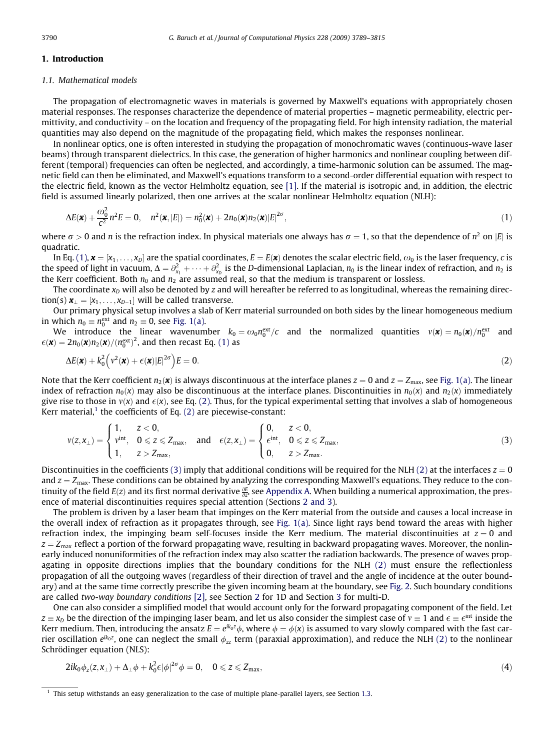#### <span id="page-1-0"></span>1. Introduction

# 1.1. Mathematical models

The propagation of electromagnetic waves in materials is governed by Maxwell's equations with appropriately chosen material responses. The responses characterize the dependence of material properties – magnetic permeability, electric permittivity, and conductivity – on the location and frequency of the propagating field. For high intensity radiation, the material quantities may also depend on the magnitude of the propagating field, which makes the responses nonlinear.

In nonlinear optics, one is often interested in studying the propagation of monochromatic waves (continuous-wave laser beams) through transparent dielectrics. In this case, the generation of higher harmonics and nonlinear coupling between different (temporal) frequencies can often be neglected, and accordingly, a time-harmonic solution can be assumed. The magnetic field can then be eliminated, and Maxwell's equations transform to a second-order differential equation with respect to the electric field, known as the vector Helmholtz equation, see [\[1\].](#page-25-0) If the material is isotropic and, in addition, the electric field is assumed linearly polarized, then one arrives at the scalar nonlinear Helmholtz equation (NLH):

$$
\Delta E(\mathbf{x}) + \frac{\omega_0^2}{c^2} n^2 E = 0, \quad n^2(\mathbf{x}, |E|) = n_0^2(\mathbf{x}) + 2n_0(\mathbf{x})n_2(\mathbf{x})|E|^{2\sigma}, \tag{1}
$$

where  $\sigma > 0$  and n is the refraction index. In physical materials one always has  $\sigma = 1$ , so that the dependence of  $n^2$  on |E| is quadratic.

In Eq. (1),  $\mathbf{x} = [x_1, \ldots, x_D]$  are the spatial coordinates,  $E = E(\mathbf{x})$  denotes the scalar electric field,  $\omega_0$  is the laser frequency, c is the speed of light in vacuum,  $\Delta=\partial_{x_1}^2+\cdots+\partial_{x_p}^2$  is the D-dimensional Laplacian,  $n_0$  is the linear index of refraction, and  $n_2$  is the Kerr coefficient. Both  $n_0$  and  $n_2$  are assumed real, so that the medium is transparent or lossless.

The coordinate  $x_D$  will also be denoted by z and will hereafter be referred to as longitudinal, whereas the remaining direction(s)  $\mathbf{x}_{\perp} = [x_1, \ldots, x_{D-1}]$  will be called transverse.

Our primary physical setup involves a slab of Kerr material surrounded on both sides by the linear homogeneous medium in which  $n_0 \equiv n_0^{\text{ext}}$  and  $n_2 \equiv 0$ , see [Fig. 1\(a\)](#page-2-0).

We introduce the linear wavenumber  $k_0 = \omega_0 n_0^{\text{ext}}/c$  and the normalized quantities  $v(\mathbf{x}) = n_0(\mathbf{x})/n_0^{\text{ext}}$  and  $\epsilon(\mathbf{x}) = 2n_0(\mathbf{x})n_2(\mathbf{x})/(n_0^{\text{ext}})^2$ , and then recast Eq. (1) as

$$
\Delta E(\mathbf{x}) + k_0^2 \left( v^2(\mathbf{x}) + \epsilon(\mathbf{x}) |E|^{2\sigma} \right) E = 0.
$$
 (2)

Note that the Kerr coefficient  $n_2(\mathbf{x})$  is always discontinuous at the interface planes  $z = 0$  and  $z = Z_{\text{max}}$ , see [Fig. 1\(a\).](#page-2-0) The linear index of refraction  $n_0(x)$  may also be discontinuous at the interface planes. Discontinuities in  $n_0(x)$  and  $n_2(x)$  immediately give rise to those in  $v(x)$  and  $\epsilon(x)$ , see Eq. (2). Thus, for the typical experimental setting that involves a slab of homogeneous Kerr material, $<sup>1</sup>$  the coefficients of Eq. (2) are piecewise-constant:</sup>

$$
\nu(z,x_\perp)=\begin{cases}1,\quad \ \ z<0,\\ \nu^{int},\quad 0\leqslant z\leqslant Z_{max},\\ 1,\quad \ \ z>Z_{max},\end{cases}\text{ and }\quad \ \ \epsilon(z,x_\perp)=\begin{cases}0,\quad \ \ z<0,\\ \varepsilon^{int},\quad 0\leqslant z\leqslant Z_{max},\\ 0,\quad \ \ z>Z_{max}.\end{cases}\eqno(3)
$$

Discontinuities in the coefficients (3) imply that additional conditions will be required for the NLH (2) at the interfaces  $z = 0$ and  $z = Z_{\text{max}}$ . These conditions can be obtained by analyzing the corresponding Maxwell's equations. They reduce to the continuity of the field  $E(z)$  and its first normal derivative  $\frac{\partial E}{\partial z}$ , see Appendix A. When building a numerical approximation, the presence of material discontinuities requires special attention (Sections 2 and 3).

The problem is driven by a laser beam that impinges on the Kerr material from the outside and causes a local increase in the overall index of refraction as it propagates through, see [Fig. 1\(a\)](#page-2-0). Since light rays bend toward the areas with higher refraction index, the impinging beam self-focuses inside the Kerr medium. The material discontinuities at  $z = 0$  and  $z = Z_{\text{max}}$  reflect a portion of the forward propagating wave, resulting in backward propagating waves. Moreover, the nonlinearly induced nonuniformities of the refraction index may also scatter the radiation backwards. The presence of waves propagating in opposite directions implies that the boundary conditions for the NLH (2) must ensure the reflectionless propagation of all the outgoing waves (regardless of their direction of travel and the angle of incidence at the outer boundary) and at the same time correctly prescribe the given incoming beam at the boundary, see [Fig. 2.](#page-2-0) Such boundary conditions are called two-way boundary conditions [\[2\],](#page-25-0) see Section 2 for 1D and Section 3 for multi-D.

One can also consider a simplified model that would account only for the forward propagating component of the field. Let  $z\equiv x_D$  be the direction of the impinging laser beam, and let us also consider the simplest case of  $v\equiv 1$  and  $\epsilon\equiv\epsilon^\text{int}$  inside the Kerr medium. Then, introducing the ansatz  $E=e^{i k_0 z}\phi$ , where  $\phi=\phi(x)$  is assumed to vary slowly compared with the fast carrier oscillation e<sup>ik<sub>0</sub>z</sup>, one can neglect the small  $\phi_{zz}$  term (paraxial approximation), and reduce the NLH (2) to the nonlinear Schrödinger equation (NLS):

$$
2ik_0\phi_z(z,x_\perp)+\Delta_\perp\phi+k_0^2\epsilon|\phi|^{2\sigma}\phi=0,\quad 0\leqslant z\leqslant Z_{\max},\tag{4}
$$

 $<sup>1</sup>$  This setup withstands an easy generalization to the case of multiple plane-parallel layers, see Section 1.3.</sup>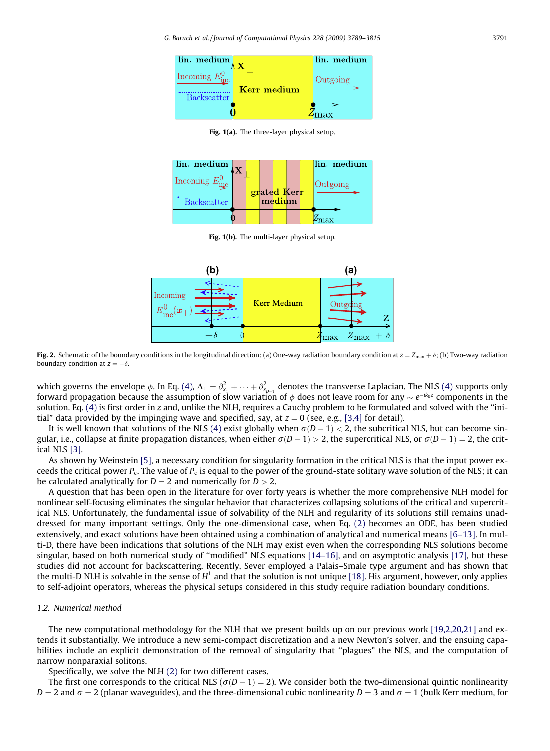<span id="page-2-0"></span>G. Baruch et al. / Journal of Computational Physics 228 (2009) 3789–3815 3791



Fig. 1(a). The three-layer physical setup.



Fig. 1(b). The multi-layer physical setup.



Fig. 2. Schematic of the boundary conditions in the longitudinal direction: (a) One-way radiation boundary condition at  $z = Z_{\text{max}} + \delta$ ; (b) Two-way radiation boundary condition at  $z = -\delta$ .

which governs the envelope  $\phi$ . In Eq. [\(4\)](#page-1-0),  $\Delta_{\perp} = \partial_{x_1}^2 + \cdots + \partial_{x_{D-1}}^2$  denotes the transverse Laplacian. The NLS (4) supports only forward propagation because the assumption of slow variation of  $\phi$  does not leave room for any  $\sim e^{-ik_0z}$  components in the solution. Eq. [\(4\)](#page-1-0) is first order in z and, unlike the NLH, requires a Cauchy problem to be formulated and solved with the ''initial" data provided by the impinging wave and specified, say, at  $z = 0$  (see, e.g., [\[3,4\]](#page-25-0) for detail).

It is well known that solutions of the NLS [\(4\)](#page-1-0) exist globally when  $\sigma(D-1) < 2$ , the subcritical NLS, but can become singular, i.e., collapse at finite propagation distances, when either  $\sigma(D - 1) > 2$ , the supercritical NLS, or  $\sigma(D - 1) = 2$ , the critical NLS [\[3\]](#page-25-0).

As shown by Weinstein [\[5\]](#page-25-0), a necessary condition for singularity formation in the critical NLS is that the input power exceeds the critical power  $P_c$ . The value of  $P_c$  is equal to the power of the ground-state solitary wave solution of the NLS; it can be calculated analytically for  $D = 2$  and numerically for  $D > 2$ .

A question that has been open in the literature for over forty years is whether the more comprehensive NLH model for nonlinear self-focusing eliminates the singular behavior that characterizes collapsing solutions of the critical and supercritical NLS. Unfortunately, the fundamental issue of solvability of the NLH and regularity of its solutions still remains unaddressed for many important settings. Only the one-dimensional case, when Eq. [\(2\)](#page-1-0) becomes an ODE, has been studied extensively, and exact solutions have been obtained using a combination of analytical and numerical means [\[6–13\].](#page-25-0) In multi-D, there have been indications that solutions of the NLH may exist even when the corresponding NLS solutions become singular, based on both numerical study of ''modified" NLS equations [\[14–16\]](#page-26-0), and on asymptotic analysis [\[17\],](#page-26-0) but these studies did not account for backscattering. Recently, Sever employed a Palais–Smale type argument and has shown that the multi-D NLH is solvable in the sense of  $H^1$  and that the solution is not unique [\[18\].](#page-26-0) His argument, however, only applies to self-adjoint operators, whereas the physical setups considered in this study require radiation boundary conditions.

# 1.2. Numerical method

The new computational methodology for the NLH that we present builds up on our previous work [\[19,2,20,21\]](#page-26-0) and extends it substantially. We introduce a new semi-compact discretization and a new Newton's solver, and the ensuing capabilities include an explicit demonstration of the removal of singularity that ''plagues" the NLS, and the computation of narrow nonparaxial solitons.

Specifically, we solve the NLH [\(2\)](#page-1-0) for two different cases.

The first one corresponds to the critical NLS ( $\sigma(D-1)=2$ ). We consider both the two-dimensional quintic nonlinearity  $D = 2$  and  $\sigma = 2$  (planar waveguides), and the three-dimensional cubic nonlinearity  $D = 3$  and  $\sigma = 1$  (bulk Kerr medium, for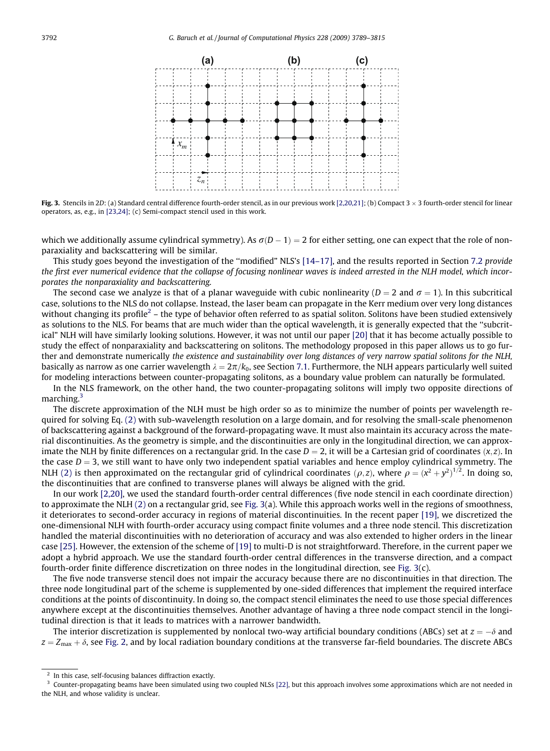

Fig. 3. Stencils in 2D: (a) Standard central difference fourth-order stencil, as in our previous work [\[2,20,21\]](#page-25-0); (b) Compact  $3 \times 3$  fourth-order stencil for linear operators, as, e.g., in [\[23,24\];](#page-26-0) (c) Semi-compact stencil used in this work.

which we additionally assume cylindrical symmetry). As  $\sigma(D-1) = 2$  for either setting, one can expect that the role of nonparaxiality and backscattering will be similar.

This study goes beyond the investigation of the ''modified" NLS's [\[14–17\]](#page-26-0), and the results reported in Section 7.2 provide the first ever numerical evidence that the collapse of focusing nonlinear waves is indeed arrested in the NLH model, which incorporates the nonparaxiality and backscattering.

The second case we analyze is that of a planar waveguide with cubic nonlinearity ( $D = 2$  and  $\sigma = 1$ ). In this subcritical case, solutions to the NLS do not collapse. Instead, the laser beam can propagate in the Kerr medium over very long distances without changing its profile<sup>2</sup> – the type of behavior often referred to as spatial soliton. Solitons have been studied extensively as solutions to the NLS. For beams that are much wider than the optical wavelength, it is generally expected that the ''subcritical" NLH will have similarly looking solutions. However, it was not until our paper [\[20\]](#page-26-0) that it has become actually possible to study the effect of nonparaxiality and backscattering on solitons. The methodology proposed in this paper allows us to go further and demonstrate numerically the existence and sustainability over long distances of very narrow spatial solitons for the NLH, basically as narrow as one carrier wavelength  $\lambda = 2\pi/k_0$ , see Section 7.1. Furthermore, the NLH appears particularly well suited for modeling interactions between counter-propagating solitons, as a boundary value problem can naturally be formulated.

In the NLS framework, on the other hand, the two counter-propagating solitons will imply two opposite directions of marching.3

The discrete approximation of the NLH must be high order so as to minimize the number of points per wavelength required for solving Eq. [\(2\)](#page-1-0) with sub-wavelength resolution on a large domain, and for resolving the small-scale phenomenon of backscattering against a background of the forward-propagating wave. It must also maintain its accuracy across the material discontinuities. As the geometry is simple, and the discontinuities are only in the longitudinal direction, we can approximate the NLH by finite differences on a rectangular grid. In the case  $D = 2$ , it will be a Cartesian grid of coordinates  $(x, z)$ . In the case  $D = 3$ , we still want to have only two independent spatial variables and hence employ cylindrical symmetry. The NLH [\(2\)](#page-1-0) is then approximated on the rectangular grid of cylindrical coordinates  $(\rho, z)$ , where  $\rho = (x^2 + y^2)^{1/2}$ . In doing so, the discontinuities that are confined to transverse planes will always be aligned with the grid.

In our work [\[2,20\],](#page-25-0) we used the standard fourth-order central differences (five node stencil in each coordinate direction) to approximate the NLH [\(2\)](#page-1-0) on a rectangular grid, see Fig. 3(a). While this approach works well in the regions of smoothness, it deteriorates to second-order accuracy in regions of material discontinuities. In the recent paper [\[19\],](#page-26-0) we discretized the one-dimensional NLH with fourth-order accuracy using compact finite volumes and a three node stencil. This discretization handled the material discontinuities with no deterioration of accuracy and was also extended to higher orders in the linear case [\[25\].](#page-26-0) However, the extension of the scheme of [\[19\]](#page-26-0) to multi-D is not straightforward. Therefore, in the current paper we adopt a hybrid approach. We use the standard fourth-order central differences in the transverse direction, and a compact fourth-order finite difference discretization on three nodes in the longitudinal direction, see Fig. 3(c).

The five node transverse stencil does not impair the accuracy because there are no discontinuities in that direction. The three node longitudinal part of the scheme is supplemented by one-sided differences that implement the required interface conditions at the points of discontinuity. In doing so, the compact stencil eliminates the need to use those special differences anywhere except at the discontinuities themselves. Another advantage of having a three node compact stencil in the longitudinal direction is that it leads to matrices with a narrower bandwidth.

The interior discretization is supplemented by nonlocal two-way artificial boundary conditions (ABCs) set at  $z = -\delta$  and  $z = Z_{\text{max}} + \delta$ , see [Fig. 2,](#page-2-0) and by local radiation boundary conditions at the transverse far-field boundaries. The discrete ABCs

<sup>2</sup> In this case, self-focusing balances diffraction exactly.

 $3$  Counter-propagating beams have been simulated using two coupled NLSs [\[22\],](#page-26-0) but this approach involves some approximations which are not needed in the NLH, and whose validity is unclear.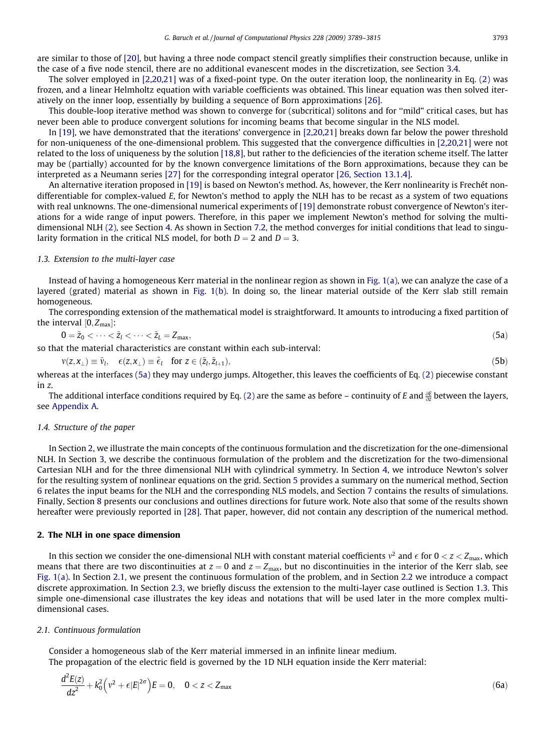<span id="page-4-0"></span>are similar to those of [\[20\],](#page-26-0) but having a three node compact stencil greatly simplifies their construction because, unlike in the case of a five node stencil, there are no additional evanescent modes in the discretization, see Section 3.4.

The solver employed in [\[2,20,21\]](#page-25-0) was of a fixed-point type. On the outer iteration loop, the nonlinearity in Eq. [\(2\)](#page-1-0) was frozen, and a linear Helmholtz equation with variable coefficients was obtained. This linear equation was then solved iteratively on the inner loop, essentially by building a sequence of Born approximations [\[26\].](#page-26-0)

This double-loop iterative method was shown to converge for (subcritical) solitons and for ''mild" critical cases, but has never been able to produce convergent solutions for incoming beams that become singular in the NLS model.

In [\[19\],](#page-26-0) we have demonstrated that the iterations' convergence in [\[2,20,21\]](#page-25-0) breaks down far below the power threshold for non-uniqueness of the one-dimensional problem. This suggested that the convergence difficulties in [\[2,20,21\]](#page-25-0) were not related to the loss of uniqueness by the solution [\[18,8\],](#page-26-0) but rather to the deficiencies of the iteration scheme itself. The latter may be (partially) accounted for by the known convergence limitations of the Born approximations, because they can be interpreted as a Neumann series [\[27\]](#page-26-0) for the corresponding integral operator [\[26, Section 13.1.4\]](#page-26-0).

An alternative iteration proposed in [\[19\]](#page-26-0) is based on Newton's method. As, however, the Kerr nonlinearity is Frechét nondifferentiable for complex-valued E, for Newton's method to apply the NLH has to be recast as a system of two equations with real unknowns. The one-dimensional numerical experiments of [\[19\]](#page-26-0) demonstrate robust convergence of Newton's iterations for a wide range of input powers. Therefore, in this paper we implement Newton's method for solving the multidimensional NLH [\(2\)](#page-1-0), see Section 4. As shown in Section 7.2, the method converges for initial conditions that lead to singularity formation in the critical NLS model, for both  $D = 2$  and  $D = 3$ .

# 1.3. Extension to the multi-layer case

Instead of having a homogeneous Kerr material in the nonlinear region as shown in [Fig. 1\(a\),](#page-2-0) we can analyze the case of a layered (grated) material as shown in [Fig. 1\(b\)](#page-2-0). In doing so, the linear material outside of the Kerr slab still remain homogeneous.

The corresponding extension of the mathematical model is straightforward. It amounts to introducing a fixed partition of the interval  $[0, Z_{\text{max}}]$ :

$$
0 = \tilde{z}_0 < \dots < \tilde{z}_l < \dots < \tilde{z}_L = Z_{\text{max}},\tag{5a}
$$

so that the material characteristics are constant within each sub-interval:

 $v(z, x_{\perp}) \equiv \tilde{v}_l, \quad \epsilon(z, x_{\perp}) \equiv \tilde{\epsilon}_l \quad \text{for } z \in (\tilde{z}_l, \tilde{z}_{l+1}),$ (5b)

whereas at the interfaces (5a) they may undergo jumps. Altogether, this leaves the coefficients of Eq. [\(2\)](#page-1-0) piecewise constant in z.

The additional interface conditions required by Eq. [\(2\)](#page-1-0) are the same as before – continuity of E and  $\frac{\partial E}{\partial z}$  between the layers, see Appendix A.

#### 1.4. Structure of the paper

In Section 2, we illustrate the main concepts of the continuous formulation and the discretization for the one-dimensional NLH. In Section 3, we describe the continuous formulation of the problem and the discretization for the two-dimensional Cartesian NLH and for the three dimensional NLH with cylindrical symmetry. In Section 4, we introduce Newton's solver for the resulting system of nonlinear equations on the grid. Section 5 provides a summary on the numerical method, Section 6 relates the input beams for the NLH and the corresponding NLS models, and Section 7 contains the results of simulations. Finally, Section 8 presents our conclusions and outlines directions for future work. Note also that some of the results shown hereafter were previously reported in [\[28\].](#page-26-0) That paper, however, did not contain any description of the numerical method.

# 2. The NLH in one space dimension

In this section we consider the one-dimensional NLH with constant material coefficients  $v^2$  and  $\epsilon$  for  $0 < z < Z_{\rm max}$ , which means that there are two discontinuities at  $z = 0$  and  $z = Z_{\text{max}}$ , but no discontinuities in the interior of the Kerr slab, see [Fig. 1\(a\).](#page-2-0) In Section 2.1, we present the continuous formulation of the problem, and in Section 2.2 we introduce a compact discrete approximation. In Section 2.3, we briefly discuss the extension to the multi-layer case outlined is Section 1.3. This simple one-dimensional case illustrates the key ideas and notations that will be used later in the more complex multidimensional cases.

#### 2.1. Continuous formulation

Consider a homogeneous slab of the Kerr material immersed in an infinite linear medium. The propagation of the electric field is governed by the 1D NLH equation inside the Kerr material:

$$
\frac{d^2E(z)}{dz^2} + k_0^2 \left(v^2 + \epsilon |E|^{2\sigma}\right) E = 0, \quad 0 < z < Z_{\text{max}} \tag{6a}
$$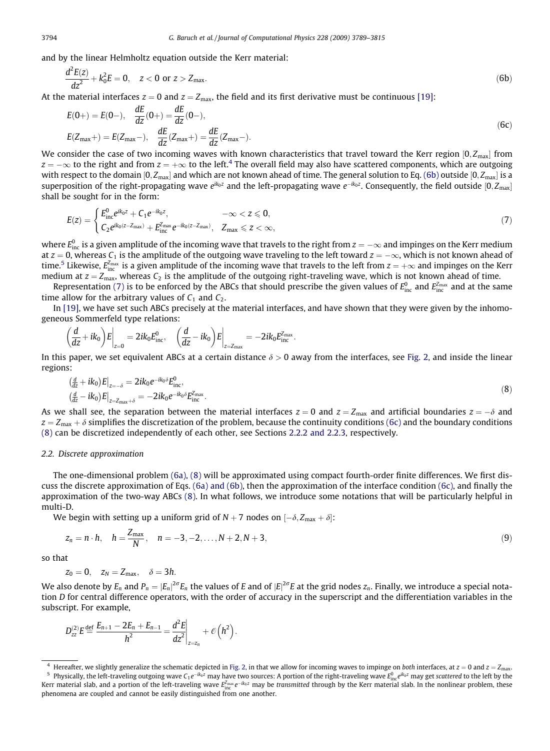and by the linear Helmholtz equation outside the Kerr material:

$$
\frac{d^2E(z)}{dz^2} + k_0^2 E = 0, \quad z < 0 \text{ or } z > Z_{\text{max}}.\tag{6b}
$$

At the material interfaces  $z = 0$  and  $z = Z_{\text{max}}$ , the field and its first derivative must be continuous [\[19\]:](#page-26-0)

$$
E(0+) = E(0-), \quad \frac{dE}{dz}(0+) = \frac{dE}{dz}(0-),
$$
  
\n
$$
E(Z_{\text{max}}+) = E(Z_{\text{max}}-), \quad \frac{dE}{dz}(Z_{\text{max}}+) = \frac{dE}{dz}(Z_{\text{max}}-).
$$
\n(6c)

We consider the case of two incoming waves with known characteristics that travel toward the Kerr region  $[0,Z_{\rm max}]$  from  $z = -\infty$  to the right and from  $z = +\infty$  to the left.<sup>4</sup> The overall field may also have scattered components, which are outgoing with respect to the domain  $[0, Z_{\rm max}]$  and which are not known ahead of time. The general solution to Eq. (6b) outside  $[0, Z_{\rm max}]$  is a superposition of the right-propagating wave  $e^{ik_0z}$  and the left-propagating wave  $e^{-ik_0z}$ . Consequently, the field outside [0, Z<sub>max</sub>] shall be sought for in the form:

$$
E(z) = \begin{cases} E_{\text{inc}}^{0} e^{ik_{0}z} + C_{1} e^{-ik_{0}z}, & -\infty < z \leq 0, \\ C_{2} e^{ik_{0}(z - Z_{\text{max}})} + E_{\text{inc}}^{Z_{\text{max}}} e^{-ik_{0}(z - Z_{\text{max}})}, & Z_{\text{max}} \leq z < \infty, \end{cases}
$$
\n(7)

where  $E_{\rm inc}^0$  is a given amplitude of the incoming wave that travels to the right from  $z=-\infty$  and impinges on the Kerr medium at  $z = 0$ , whereas  $C_1$  is the amplitude of the outgoing wave traveling to the left toward  $z = -\infty$ , which is not known ahead of time.<sup>5</sup> Likewise,  $E_{\rm inc}^{\rm z_{max}}$  is a given amplitude of the incoming wave that travels to the left from  $z=+\infty$  and impinges on the Kerr medium at  $z = Z_{\text{max}}$ , whereas  $C_2$  is the amplitude of the outgoing right-traveling wave, which is not known ahead of time.

Representation (7) is to be enforced by the ABCs that should prescribe the given values of  $E_{\text{inc}}^0$  and  $E_{\text{inc}}^{Z_{\text{max}}}$  and at the same time allow for the arbitrary values of  $C_1$  and  $C_2$ .

In [\[19\]](#page-26-0), we have set such ABCs precisely at the material interfaces, and have shown that they were given by the inhomogeneous Sommerfeld type relations:

$$
\left(\frac{d}{dz}+ik_0\right)E\bigg|_{z=0}=2ik_0E_{\text{inc}}^0,\quad \left(\frac{d}{dz}-ik_0\right)E\bigg|_{z=Z_{\text{max}}}=-2ik_0E_{\text{inc}}^{Z_{\text{max}}}.
$$

In this paper, we set equivalent ABCs at a certain distance  $\delta > 0$  away from the interfaces, see [Fig. 2](#page-2-0), and inside the linear regions:

$$
\frac{\left(\frac{d}{dz} + ik_0\right)E\right|_{z=-\delta} = 2ik_0e^{-ik_0\delta}E_{\text{inc}}^0, \n\left(\frac{d}{dz} - ik_0\right)E\right|_{z=z_{\text{max}}+\delta} = -2ik_0e^{-ik_0\delta}E_{\text{inc}}^{z_{\text{max}}}.
$$
\n(8)

As we shall see, the separation between the material interfaces  $z = 0$  and  $z = Z_{\text{max}}$  and artificial boundaries  $z = -\delta$  and  $z = Z_{\text{max}} + \delta$  simplifies the discretization of the problem, because the continuity conditions (6c) and the boundary conditions (8) can be discretized independently of each other, see Sections 2.2.2 and 2.2.3, respectively.

# 2.2. Discrete approximation

The one-dimensional problem [\(6a\), \(8\)](#page-4-0) will be approximated using compact fourth-order finite differences. We first discuss the discrete approximation of Eqs. [\(6a\) and \(6b\)](#page-4-0), then the approximation of the interface condition (6c), and finally the approximation of the two-way ABCs (8). In what follows, we introduce some notations that will be particularly helpful in multi-D.

We begin with setting up a uniform grid of N  $+$  7 nodes on  $[-\delta, Z_{\rm max} + \delta]$ :

$$
z_n = n \cdot h, \quad h = \frac{Z_{\text{max}}}{N}, \quad n = -3, -2, \dots, N+2, N+3,
$$
\n(9)

so that

$$
z_0=0, \quad z_N=Z_{\text{max}}, \quad \delta=3h.
$$

We also denote by  $E_n$  and  $P_n=|E_n|^{2\sigma}E_n$  the values of  $E$  and of  $|E|^{2\sigma}E$  at the grid nodes  $z_n$ . Finally, we introduce a special notation D for central difference operators, with the order of accuracy in the superscript and the differentiation variables in the subscript. For example,

$$
D_{zz}^{(2)}E \stackrel{\text{def}}{=} \frac{E_{n+1} - 2E_n + E_{n-1}}{h^2} = \frac{d^2E}{dz^2}\bigg|_{z=z_n} + \mathcal{O}\left(h^2\right).
$$

<span id="page-5-0"></span>

Hereafter, we slightly generalize the schematic depicted in [Fig. 2](#page-2-0), in that we allow for incoming waves to impinge on both interfaces, at  $z = 0$  and  $z = Z_{\text{max}}$ .  $^5\,$  Physically, the left-traveling outgoing wave C $_1e^{-ik_0z}$  may have two sources: A portion of the right-traveling wave  $E_{\rm inc}^0e^{ik_0z}$  may get scattered to the left by the Kerr material slab, and a portion of the left-traveling wave  $E_{\rm inc}^{z_{\rm max}} e^{-ik_0 z}$  may be *transmitted* through by the Kerr material slab. In the nonlinear problem, these phenomena are coupled and cannot be easily distinguished from one another.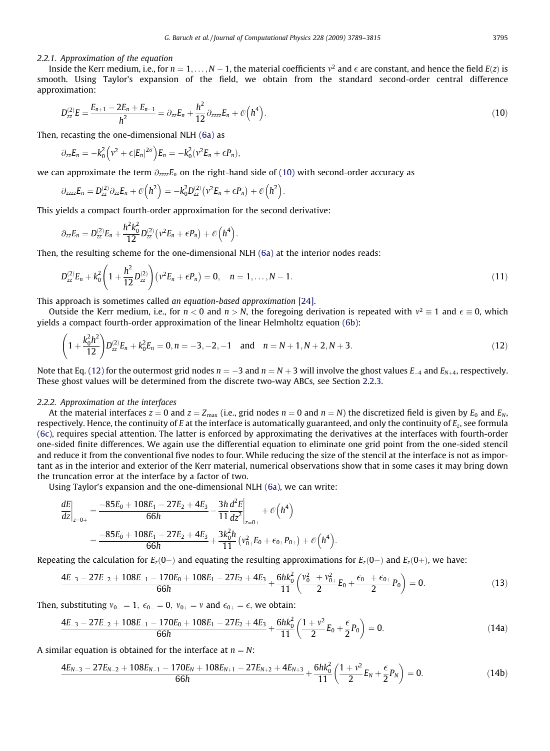#### <span id="page-6-0"></span>2.2.1. Approximation of the equation

Inside the Kerr medium, i.e., for  $n=1,\ldots,N-1,$  the material coefficients  $v^2$  and  $\epsilon$  are constant, and hence the field  $E(z)$  is smooth. Using Taylor's expansion of the field, we obtain from the standard second-order central difference approximation:

$$
D_{zz}^{(2)}E = \frac{E_{n+1} - 2E_n + E_{n-1}}{h^2} = \partial_{zz}E_n + \frac{h^2}{12}\partial_{zzzz}E_n + \mathcal{O}\left(h^4\right).
$$
\n(10)

Then, recasting the one-dimensional NLH [\(6a\)](#page-4-0) as

$$
\partial_{zz}E_n=-k_0^2\Big(v^2+\epsilon|E_n|^{2\sigma}\Big)E_n=-k_0^2(v^2E_n+\epsilon P_n),
$$

we can approximate the term  $\partial_{zzz}E_n$  on the right-hand side of (10) with second-order accuracy as

$$
\partial_{zzzz}E_n=D^{(2)}_{zz}\partial_{zz}E_n+\mathcal O\Big(h^2\Big)=-k_0^2D^{(2)}_{zz}\big(\nu^2E_n+\epsilon P_n\big)+\mathcal O\Big(h^2\Big).
$$

This yields a compact fourth-order approximation for the second derivative:

$$
\partial_{zz}E_n=D_{zz}^{(2)}E_n+\frac{h^2k_0^2}{12}D_{zz}^{(2)}(v^2E_n+\epsilon P_n)+\mathcal{O}(h^4).
$$

Then, the resulting scheme for the one-dimensional NLH [\(6a\)](#page-4-0) at the interior nodes reads:

$$
D_{zz}^{(2)}E_n + k_0^2 \left(1 + \frac{h^2}{12} D_{zz}^{(2)}\right) \left(v^2 E_n + \epsilon P_n\right) = 0, \quad n = 1, \dots, N-1.
$$
\n(11)

This approach is sometimes called an equation-based approximation [\[24\].](#page-26-0)

Outside the Kerr medium, i.e., for  $n < 0$  and  $n > N$ , the foregoing derivation is repeated with  $v^2 \equiv 1$  and  $\epsilon \equiv 0$ , which yields a compact fourth-order approximation of the linear Helmholtz equation [\(6b\):](#page-5-0)

$$
\left(1+\frac{k_0^2h^2}{12}\right)D_{zz}^{(2)}E_n+k_0^2E_n=0, n=-3, -2, -1 \text{ and } n=N+1, N+2, N+3. \tag{12}
$$

Note that Eq. (12) for the outermost grid nodes  $n = -3$  and  $n = N + 3$  will involve the ghost values  $E_{-4}$  and  $E_{N+4}$ , respectively. These ghost values will be determined from the discrete two-way ABCs, see Section 2.2.3.

# 2.2.2. Approximation at the interfaces

At the material interfaces  $z = 0$  and  $z = Z_{\text{max}}$  (i.e., grid nodes  $n = 0$  and  $n = N$ ) the discretized field is given by  $E_0$  and  $E_N$ , respectively. Hence, the continuity of E at the interface is automatically guaranteed, and only the continuity of  $E_7$ , see formula [\(6c\),](#page-5-0) requires special attention. The latter is enforced by approximating the derivatives at the interfaces with fourth-order one-sided finite differences. We again use the differential equation to eliminate one grid point from the one-sided stencil and reduce it from the conventional five nodes to four. While reducing the size of the stencil at the interface is not as important as in the interior and exterior of the Kerr material, numerical observations show that in some cases it may bring down the truncation error at the interface by a factor of two.

Using Taylor's expansion and the one-dimensional NLH [\(6a\)](#page-4-0), we can write:

$$
\frac{dE}{dz}\Big|_{z=0+} = \frac{-85E_0 + 108E_1 - 27E_2 + 4E_3}{66h} - \frac{3h}{11}\frac{d^2E}{dz^2}\Big|_{z=0+} + \mathcal{O}\Big(h^4\Big) \n= \frac{-85E_0 + 108E_1 - 27E_2 + 4E_3}{66h} + \frac{3k_0^2h}{11}\left(v_{0+}^2E_0 + \epsilon_{0+}P_{0+}\right) + \mathcal{O}\Big(h^4\Big).
$$

Repeating the calculation for  $E_z(0-)$  and equating the resulting approximations for  $E_z(0-)$  and  $E_z(0+)$ , we have:

$$
\frac{4E_{-3} - 27E_{-2} + 108E_{-1} - 170E_0 + 108E_1 - 27E_2 + 4E_3}{66h} + \frac{6hk_0^2}{11}\left(\frac{v_{0-}^2 + v_{0+}^2}{2}E_0 + \frac{\epsilon_{0-} + \epsilon_{0+}}{2}P_0\right) = 0. \tag{13}
$$

Then, substituting  $v_{0-} = 1$ ,  $\epsilon_{0-} = 0$ ,  $v_{0+} = v$  and  $\epsilon_{0+} = \epsilon$ , we obtain:

$$
\frac{4E_{-3} - 27E_{-2} + 108E_{-1} - 170E_0 + 108E_1 - 27E_2 + 4E_3}{66h} + \frac{6hk_0^2}{11}\left(\frac{1+v^2}{2}E_0 + \frac{\epsilon}{2}P_0\right) = 0.
$$
\n(14a)

A similar equation is obtained for the interface at  $n = N$ :

$$
\frac{4E_{N-3}-27E_{N-2}+108E_{N-1}-170E_N+108E_{N+1}-27E_{N+2}+4E_{N+3}}{66h}+\frac{6hk_0^2}{11}\left(\frac{1+v^2}{2}E_N+\frac{\epsilon}{2}P_N\right)=0.
$$
\n(14b)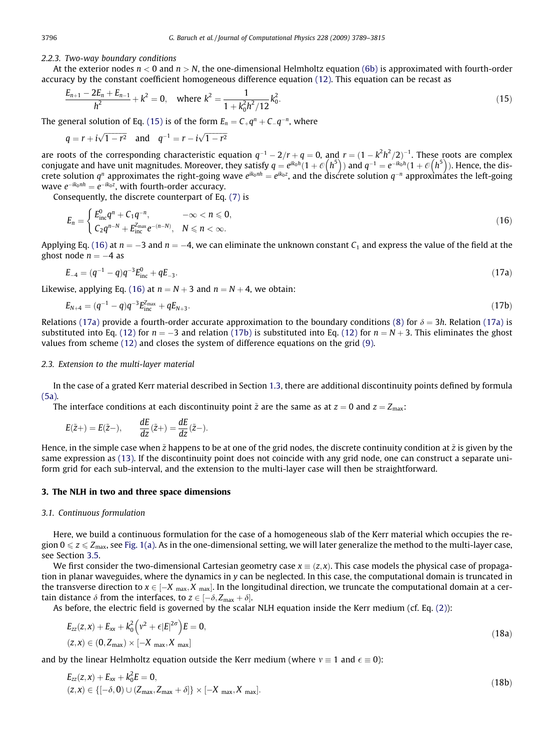#### 2.2.3. Two-way boundary conditions

At the exterior nodes  $n < 0$  and  $n > N$ , the one-dimensional Helmholtz equation [\(6b\)](#page-5-0) is approximated with fourth-order accuracy by the constant coefficient homogeneous difference equation [\(12\).](#page-6-0) This equation can be recast as

$$
\frac{E_{n+1} - 2E_n + E_{n-1}}{h^2} + k^2 = 0, \quad \text{where } k^2 = \frac{1}{1 + k_0^2 h^2 / 12} k_0^2.
$$
 (15)

The general solution of Eq. (15) is of the form  $E_n = C_{+}q^n + C_{-}q^{-n}$ , where

$$
q = r + i\sqrt{1 - r^2}
$$
 and  $q^{-1} = r - i\sqrt{1 - r^2}$ 

are roots of the corresponding characteristic equation  $q^{-1} - 2/r + q = 0$ , and  $r = (1 - k^2 h^2 / 2)^{-1}$ . These roots are complex conjugate and have unit magnitudes. Moreover, they satisfy  $q = e^{ik_0h} (1 + \mathcal{O}(h^5))$  and  $q^{-1} = e^{-ik_0h} (1 + \mathcal{O}(h^5))$ . Hence, the discrete solution  $q^n$  approximates the right-going wave  $e^{ik_0nh}=e^{ik_0z}$ , and the discrete solution  $q^{-n}$  approximátes the left-going wave  $e^{-ik_0nh}=e^{-ik_0z}$ , with fourth-order accuracy.

Consequently, the discrete counterpart of Eq. [\(7\)](#page-5-0) is

$$
E_n = \begin{cases} E_{\text{inc}}^0 q^n + C_1 q^{-n}, & -\infty < n \leq 0, \\ C_2 q^{n-N} + E_{\text{inc}}^{Z_{\text{max}}} e^{-(n-N)}, & N \leq n < \infty. \end{cases}
$$
(16)

Applying Eq. (16) at  $n = -3$  and  $n = -4$ , we can eliminate the unknown constant  $C_1$  and express the value of the field at the ghost node  $n = -4$  as

$$
E_{-4} = (q^{-1} - q)q^{-3}E_{\text{inc}}^0 + qE_{-3}.
$$
\n(17a)

Likewise, applying Eq. (16) at  $n = N + 3$  and  $n = N + 4$ , we obtain:

$$
E_{N+4} = (q^{-1} - q)q^{-3}E_{\text{inc}}^{Z_{\text{max}}} + qE_{N+3}.
$$
\n(17b)

Relations (17a) provide a fourth-order accurate approximation to the boundary conditions [\(8\)](#page-5-0) for  $\delta = 3h$ . Relation (17a) is substituted into Eq. [\(12\)](#page-6-0) for  $n = -3$  and relation (17b) is substituted into Eq. (12) for  $n = N + 3$ . This eliminates the ghost values from scheme [\(12\)](#page-6-0) and closes the system of difference equations on the grid [\(9\).](#page-5-0)

#### 2.3. Extension to the multi-layer material

In the case of a grated Kerr material described in Section 1.3, there are additional discontinuity points defined by formula [\(5a\)](#page-4-0).

The interface conditions at each discontinuity point  $\tilde{z}$  are the same as at  $z = 0$  and  $z = Z_{\text{max}}$ :

$$
E(\tilde{z}+) = E(\tilde{z}-), \qquad \frac{dE}{dz}(\tilde{z}+) = \frac{dE}{dz}(\tilde{z}-).
$$

Hence, in the simple case when  $\tilde{z}$  happens to be at one of the grid nodes, the discrete continuity condition at  $\tilde{z}$  is given by the same expression as [\(13\).](#page-6-0) If the discontinuity point does not coincide with any grid node, one can construct a separate uniform grid for each sub-interval, and the extension to the multi-layer case will then be straightforward.

# 3. The NLH in two and three space dimensions

#### 3.1. Continuous formulation

Here, we build a continuous formulation for the case of a homogeneous slab of the Kerr material which occupies the region  $0 \le z \le Z_{\text{max}}$ , see [Fig. 1\(a\)](#page-2-0). As in the one-dimensional setting, we will later generalize the method to the multi-layer case, see Section 3.5.

We first consider the two-dimensional Cartesian geometry case  $x \equiv (z, x)$ . This case models the physical case of propagation in planar waveguides, where the dynamics in y can be neglected. In this case, the computational domain is truncated in the transverse direction to  $x \in [-X]$   $_{\text{max}}$ ,  $X$   $_{\text{max}}$ ]. In the longitudinal direction, we truncate the computational domain at a certain distance  $\delta$  from the interfaces, to  $z \in [-\delta, Z_{\max} + \delta].$ 

As before, the electric field is governed by the scalar NLH equation inside the Kerr medium (cf. Eq. [\(2\)](#page-1-0)):

$$
E_{zz}(z, x) + E_{xx} + k_0^2 \left(v^2 + \epsilon |E|^{2\sigma}\right) E = 0,
$$
  
(z, x) \in (0, Z<sub>max</sub>) \times [-X<sub>max</sub>, X<sub>max</sub>] (18a)

and by the linear Helmholtz equation outside the Kerr medium (where  $v \equiv 1$  and  $\epsilon \equiv 0$ ):

$$
E_{zz}(z, x) + E_{xx} + k_0^2 E = 0,
$$
  
(z, x) \in \{[-\delta, 0) \cup (Z\_{\text{max}}, Z\_{\text{max}} + \delta] \} \times [-X\_{\text{max}}, X\_{\text{max}}]. (18b)

<span id="page-7-0"></span>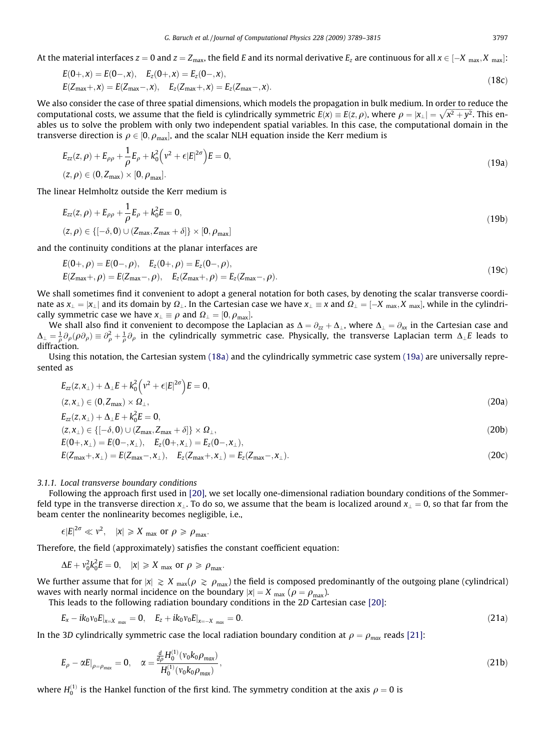<span id="page-8-0"></span>At the material interfaces  $z=0$  and  $z=Z_{\rm max}$ , the field  $E$  and its normal derivative  $E_z$  are continuous for all  $x\in[-X_{\rm max},X_{\rm max}]$ :

$$
E(0+,x) = E(0-,x), \quad E_z(0+,x) = E_z(0-,x),
$$
  
\n
$$
E(Z_{\text{max}}+,x) = E(Z_{\text{max}}-,x), \quad E_z(Z_{\text{max}}+,x) = E_z(Z_{\text{max}}-,x).
$$
\n(18c)

We also consider the case of three spatial dimensions, which models the propagation in bulk medium. In order to reduce the computational costs, we assume that the field is cylindrically symmetric  $E(x) \equiv E(z, \rho)$ , where  $\rho = |x_{\perp}| = \sqrt{x^2 + y^2}$ . This enables us to solve the problem with only two independent spatial variables. In this case, the computational domain in the transverse direction is  $\rho \in [0,\rho_{\max}]$ , and the scalar NLH equation inside the Kerr medium is

$$
E_{zz}(z,\rho) + E_{\rho\rho} + \frac{1}{\rho}E_{\rho} + k_0^2(\nu^2 + \epsilon |E|^{2\sigma})E = 0,
$$
  
(z,\rho) \in (0, Z\_{\text{max}}) \times [0, \rho\_{\text{max}}]. (19a)

The linear Helmholtz outside the Kerr medium is

$$
E_{zz}(z,\rho) + E_{\rho\rho} + \frac{1}{\rho}E_{\rho} + k_0^2 E = 0,
$$
  
(z,\rho) \in \{[-\delta, 0) \cup (Z\_{\text{max}}, Z\_{\text{max}} + \delta] \} \times [0, \rho\_{\text{max}}] (19b)

and the continuity conditions at the planar interfaces are

$$
E(0+,\rho) = E(0-,\rho), \quad E_z(0+,\rho) = E_z(0-,\rho), E(Z_{\text{max}}+,\rho) = E(Z_{\text{max}}-,\rho), \quad E_z(Z_{\text{max}}+,\rho) = E_z(Z_{\text{max}}-,\rho).
$$
\n(19c)

We shall sometimes find it convenient to adopt a general notation for both cases, by denoting the scalar transverse coordinate as  $x_\perp=|x_\perp|$  and its domain by  $\Omega_\perp.$  In the Cartesian case we have  $x_\perp\equiv x$  and  $\Omega_\perp=[-X_{\rm max},X_{\rm max}]$ , while in the cylindrically symmetric case we have  $x_{\perp} \equiv \rho$  and  $\Omega_{\perp} = [0, \rho_{\text{max}}].$ 

We shall also find it convenient to decompose the Laplacian as  $\Delta = \partial_{zz} + \Delta_{\perp}$ , where  $\Delta_{\perp} = \partial_{xx}$  in the Cartesian case and  $\Delta_\perp=\frac{1}{\rho}\partial_\rho(\rho\partial_\rho)\equiv\partial_\rho^2+\frac{1}{\rho}\partial_\rho$  in the cylindrically symmetric case. Physically, the transverse Laplacian term  $\Delta_\perp E$  leads to diffraction.

Using this notation, the Cartesian system [\(18a\)](#page-7-0) and the cylindrically symmetric case system (19a) are universally represented as

$$
E_{zz}(z,x_\perp)+\Delta_\perp E +k_0^2\Bigl(\nu^2+\epsilon|E|^{2\sigma}\Bigr)E=0,
$$

$$
(z, x\perp) \in (0, Zmax) \times \Omega\perp,Ezz(z, x\perp) + \Delta\perpE + k02E = 0,
$$
\n(20a)

$$
(z, x_{\perp}) \in \{[-\delta, 0) \cup (Z_{\text{max}}, Z_{\text{max}} + \delta]\} \times \Omega_{\perp},
$$
\n(20b)

$$
E(0+,x_{\perp}) = E(0-,x_{\perp}), \quad E_z(0+,x_{\perp}) = E_z(0-,x_{\perp}), E(Z_{\text{max}}+,x_{\perp}) = E(Z_{\text{max}}-,x_{\perp}), \quad E_z(Z_{\text{max}}+,x_{\perp}) = E_z(Z_{\text{max}}-,x_{\perp}).
$$
\n(20c)

#### 3.1.1. Local transverse boundary conditions

Following the approach first used in [\[20\],](#page-26-0) we set locally one-dimensional radiation boundary conditions of the Sommerfeld type in the transverse direction  $x_1$ . To do so, we assume that the beam is localized around  $x_1 = 0$ , so that far from the beam center the nonlinearity becomes negligible, i.e.,

 $\epsilon |E|^{2\sigma} \ll v^2$ ,  $|x| \geqslant X$  max or  $\rho \geqslant \rho_{\text{max}}$ .

Therefore, the field (approximately) satisfies the constant coefficient equation:

 $\Delta E + v_0^2 k_0^2 E = 0$ ,  $|x| \ge X$  max or  $\rho \ge \rho_{\text{max}}$ .

We further assume that for  $|x| \ge X_{\text{max}}(\rho \ge \rho_{\text{max}})$  the field is composed predominantly of the outgoing plane (cylindrical) waves with nearly normal incidence on the boundary  $|x| = X_{\text{max}}$  ( $\rho = \rho_{\text{max}}$ ).

This leads to the following radiation boundary conditions in the 2D Cartesian case [\[20\]](#page-26-0):

$$
E_x - ik_0 v_0 E_{|_{x=X_{max}}} = 0, \quad E_z + ik_0 v_0 E_{|_{x=-X_{max}}} = 0.
$$
\n(21a)

In the 3D cylindrically symmetric case the local radiation boundary condition at  $\rho = \rho_{max}$  reads [\[21\]:](#page-26-0)

$$
E_{\rho} - \alpha E|_{\rho = \rho_{\text{max}}} = 0, \quad \alpha = \frac{\frac{d}{d\rho} H_0^{(1)}(v_0 k_0 \rho_{\text{max}})}{H_0^{(1)}(v_0 k_0 \rho_{\text{max}})},
$$
(21b)

where  $H_0^{(1)}$  is the Hankel function of the first kind. The symmetry condition at the axis  $\rho=0$  is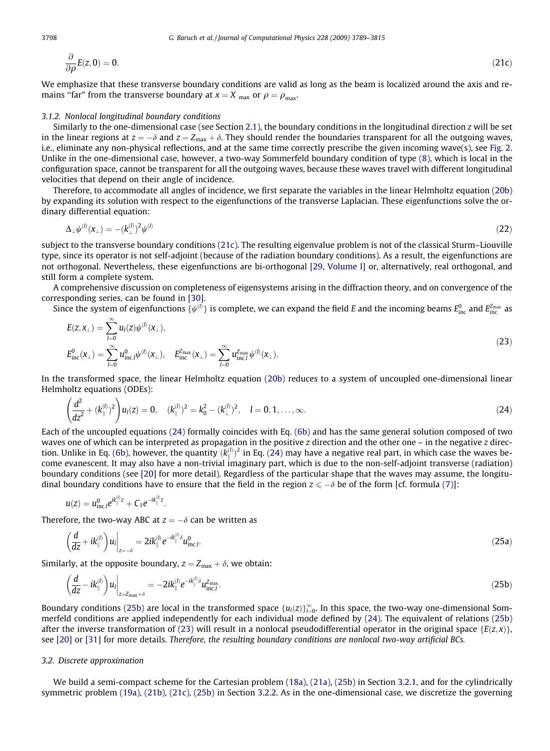$$
\frac{\partial}{\partial \rho}E(z,0) = 0. \tag{21c}
$$

We emphasize that these transverse boundary conditions are valid as long as the beam is localized around the axis and remains "far" from the transverse boundary at  $x = X_{\text{max}}$  or  $\rho = \rho_{\text{max}}$ .

# 3.1.2. Nonlocal longitudinal boundary conditions

Similarly to the one-dimensional case (see Section 2.1), the boundary conditions in the longitudinal direction z will be set in the linear regions at  $z = -\delta$  and  $z = Z_{\text{max}} + \delta$ . They should render the boundaries transparent for all the outgoing waves, i.e., eliminate any non-physical reflections, and at the same time correctly prescribe the given incoming wave(s), see [Fig. 2](#page-2-0). Unlike in the one-dimensional case, however, a two-way Sommerfeld boundary condition of type [\(8\),](#page-5-0) which is local in the configuration space, cannot be transparent for all the outgoing waves, because these waves travel with different longitudinal velocities that depend on their angle of incidence.

Therefore, to accommodate all angles of incidence, we first separate the variables in the linear Helmholtz equation (20b) by expanding its solution with respect to the eigenfunctions of the transverse Laplacian. These eigenfunctions solve the ordinary differential equation:

$$
\Delta_{\perp}\psi^{(l)}(\mathbf{x}_{\perp}) = -(k_{\perp}^{(l)})^2\psi^{(l)}\tag{22}
$$

subject to the transverse boundary conditions (21c). The resulting eigenvalue problem is not of the classical Sturm–Liouville type, since its operator is not self-adjoint (because of the radiation boundary conditions). As a result, the eigenfunctions are not orthogonal. Nevertheless, these eigenfunctions are bi-orthogonal [\[29, Volume I\]](#page-26-0) or, alternatively, real orthogonal, and still form a complete system.

A comprehensive discussion on completeness of eigensystems arising in the diffraction theory, and on convergence of the corresponding series, can be found in [\[30\].](#page-26-0)

Since the system of eigenfunctions  $\{\psi^{(l)}\}$  is complete, we can expand the field E and the incoming beams  $E_{\rm inc}^0$  and  $E_{\rm inc}^{\rm Z_{max}}$  as

$$
E(z, x_{\perp}) = \sum_{l=0}^{\infty} u_l(z) \psi^{(l)}(x_{\perp}),
$$
  
\n
$$
E_{\text{inc}}^0(x_{\perp}) = \sum_{l=0}^{\infty} u_{\text{inc},l}^0 \psi^{(l)}(x_{\perp}), \quad E_{\text{inc}}^{Z_{\text{max}}}(x_{\perp}) = \sum_{l=0}^{\infty} u_{\text{inc},l}^{Z_{\text{max}}} \psi^{(l)}(x_{\perp}).
$$
\n(23)

In the transformed space, the linear Helmholtz equation (20b) reduces to a system of uncoupled one-dimensional linear Helmholtz equations (ODEs):

$$
\left(\frac{d^2}{dz^2} + (k_{\parallel}^{(l)})^2\right)u_l(z) = 0, \quad (k_{\parallel}^{(l)})^2 = k_0^2 - (k_{\perp}^{(l)})^2, \quad l = 0, 1, ..., \infty.
$$
\n(24)

Each of the uncoupled equations (24) formally coincides with Eq. [\(6b\)](#page-5-0) and has the same general solution composed of two waves one of which can be interpreted as propagation in the positive  $z$  direction and the other one – in the negative  $z$  direc-tion. Unlike in Eq. [\(6b\)](#page-5-0), however, the quantity  $(k_{\parallel}^{(l)})^2$  in Eq. (24) may have a negative real part, in which case the waves become evanescent. It may also have a non-trivial imaginary part, which is due to the non-self-adjoint transverse (radiation) boundary conditions (see [\[20\]](#page-26-0) for more detail). Regardless of the particular shape that the waves may assume, the longitudinal boundary conditions have to ensure that the field in the region  $z \le -\delta$  be of the form [cf. formula [\(7\)\]](#page-5-0):

$$
u(z) = u_{\text{inc},l}^0 e^{ik_{\parallel}^{(l)}z} + C_1 e^{-ik_{\parallel}^{(l)}z}.
$$

Therefore, the two-way ABC at  $z = -\delta$  can be written as

$$
\left(\frac{d}{dz} + ik_{\parallel}^{(l)}\right)u_{l}\Big|_{z=-\delta} = 2ik_{\parallel}^{(l)}e^{-ik_{\parallel}^{(l)}\delta}u_{\text{inc},l}^{0}.
$$
\n(25a)

Similarly, at the opposite boundary,  $z = Z_{\text{max}} + \delta$ , we obtain:

$$
\left(\frac{d}{dz} - ik_{\parallel}^{(l)}\right)u_{l}\Big|_{z=z_{\max}+\delta} = -2ik_{\parallel}^{(l)}e^{-ik_{\parallel}^{(l)}\delta}u_{\text{inc},l}^{z_{\max}}.
$$
\n(25b)

Boundary conditions (25b) are local in the transformed space  $\{u_l(z)\}_{l=0}^\infty$ . In this space, the two-way one-dimensional Sommerfeld conditions are applied independently for each individual mode defined by (24). The equivalent of relations (25b) after the inverse transformation of (23) will result in a nonlocal pseudodifferential operator in the original space { $E(z, x)$ }, see [\[20\]](#page-26-0) or [\[31\]](#page-26-0) for more details. Therefore, the resulting boundary conditions are nonlocal two-way artificial BCs.

# 3.2. Discrete approximation

We build a semi-compact scheme for the Cartesian problem [\(18a\), \(21a\), \(25b\)](#page-7-0) in Section 3.2.1, and for the cylindrically symmetric problem [\(19a\), \(21b\), \(21c\), \(25b\)](#page-8-0) in Section 3.2.2. As in the one-dimensional case, we discretize the governing

<span id="page-9-0"></span>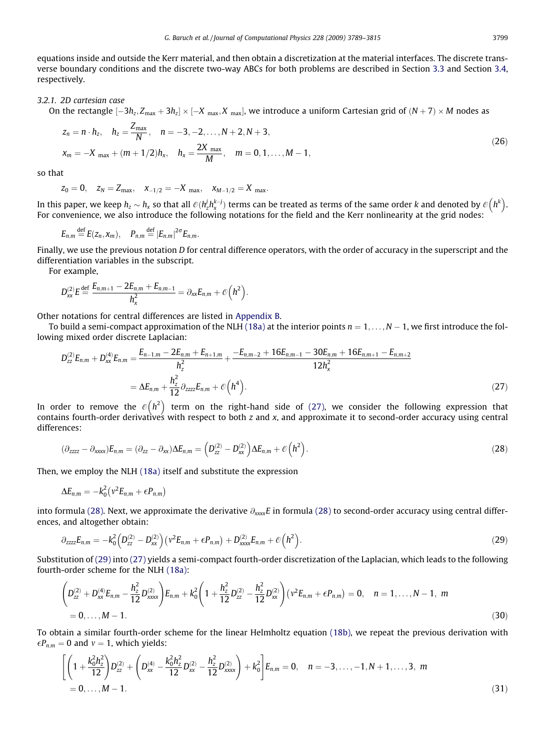<span id="page-10-0"></span>equations inside and outside the Kerr material, and then obtain a discretization at the material interfaces. The discrete transverse boundary conditions and the discrete two-way ABCs for both problems are described in Section 3.3 and Section 3.4, respectively.

#### 3.2.1. 2D cartesian case

On the rectangle  $[-3h_z,Z_{\rm max}+3h_z]\times[-X_{\rm max},X_{\rm max}]$ , we introduce a uniform Cartesian grid of  $(N+7)\times M$  nodes as

$$
z_n = n \cdot h_z, \quad h_z = \frac{Z_{\text{max}}}{N}, \quad n = -3, -2, \dots, N + 2, N + 3,
$$
  

$$
x_m = -X_{\text{max}} + (m + 1/2)h_x, \quad h_x = \frac{2X_{\text{max}}}{M}, \quad m = 0, 1, \dots, M - 1,
$$
 (26)

so that

$$
z_0=0,\quad z_N=Z_{max},\quad x_{-1/2}=-X_{max},\quad x_{M-1/2}=X_{max}.
$$

In this paper, we keep  $h_z\sim h_x$  so that all  $\mathcal O(h_z^jh_x^{k-j})$  terms can be treated as terms of the same order  $k$  and denoted by  $\mathcal O\big(h^k\big).$ For convenience, we also introduce the following notations for the field and the Kerr nonlinearity at the grid nodes:

$$
E_{n,m} \stackrel{\text{def}}{=} E(z_n, x_m), \quad P_{n,m} \stackrel{\text{def}}{=} |E_{n,m}|^{2\sigma} E_{n,m}.
$$

Finally, we use the previous notation D for central difference operators, with the order of accuracy in the superscript and the differentiation variables in the subscript.

For example,

$$
D_{xx}^{(2)}E \stackrel{\text{def}}{=} \frac{E_{n,m+1} - 2E_{n,m} + E_{n,m-1}}{h_x^2} = \partial_{xx}E_{n,m} + \mathcal{O}(h^2).
$$

Other notations for central differences are listed in Appendix B.

To build a semi-compact approximation of the NLH [\(18a\)](#page-7-0) at the interior points  $n = 1, \ldots, N - 1$ , we first introduce the following mixed order discrete Laplacian:

$$
D_{zz}^{(2)}E_{n,m} + D_{xx}^{(4)}E_{n,m} = \frac{E_{n-1,m} - 2E_{n,m} + E_{n+1,m}}{h_z^2} + \frac{-E_{n,m-2} + 16E_{n,m-1} - 30E_{n,m} + 16E_{n,m+1} - E_{n,m+2}}{12h_x^2}
$$
  
=  $\Delta E_{n,m} + \frac{h_z^2}{12} \partial_{zzzz} E_{n,m} + \mathcal{O}\left(h^4\right).$  (27)

In order to remove the  $\mathcal{O}\big( h^2 \big)$  term on the right-hand side of (27), we consider the following expression that contains fourth-order derivatives with respect to both z and x, and approximate it to second-order accuracy using central differences:

$$
(\partial_{zzzz} - \partial_{xxxx})E_{n,m} = (\partial_{zz} - \partial_{xx})\Delta E_{n,m} = \left(D_{zz}^{(2)} - D_{xx}^{(2)}\right)\Delta E_{n,m} + \mathcal{O}\left(h^2\right).
$$
\n(28)

Then, we employ the NLH [\(18a\)](#page-7-0) itself and substitute the expression

$$
\Delta E_{n,m} = -k_0^2 \left( v^2 E_{n,m} + \epsilon P_{n,m} \right)
$$

into formula (28). Next, we approximate the derivative  $\partial_{xxxx}E$  in formula (28) to second-order accuracy using central differences, and altogether obtain:

$$
\partial_{zzzz}E_{n,m} = -k_0^2 \left( D_{zz}^{(2)} - D_{xx}^{(2)} \right) \left( v^2 E_{n,m} + \epsilon P_{n,m} \right) + D_{xxxx}^{(2)} E_{n,m} + \mathcal{O}\left(h^2\right).
$$
\n(29)

Substitution of (29) into (27) yields a semi-compact fourth-order discretization of the Laplacian, which leads to the following fourth-order scheme for the NLH [\(18a\):](#page-7-0)

$$
\left(D_{zz}^{(2)}+D_{xx}^{(4)}E_{n,m}-\frac{h_z^2}{12}D_{xxxx}^{(2)}\right)E_{n,m}+k_0^2\left(1+\frac{h_z^2}{12}D_{zz}^{(2)}-\frac{h_z^2}{12}D_{xx}^{(2)}\right)\left(v^2E_{n,m}+\epsilon P_{n,m}\right)=0, \quad n=1,\ldots,N-1, \ m=0,\ldots,M-1.
$$
\n(30)

To obtain a similar fourth-order scheme for the linear Helmholtz equation [\(18b\)](#page-7-0), we repeat the previous derivation with  $\epsilon P_{n,m} = 0$  and  $v = 1$ , which yields:

$$
\left[ \left( 1 + \frac{k_0^2 h_z^2}{12} \right) D_{zz}^{(2)} + \left( D_{xx}^{(4)} - \frac{k_0^2 h_z^2}{12} D_{xx}^{(2)} - \frac{h_z^2}{12} D_{xxxx}^{(2)} \right) + k_0^2 \right] E_{n,m} = 0, \quad n = -3, \dots, -1, N+1, \dots, 3, m
$$
  
= 0, \dots, M-1. (31)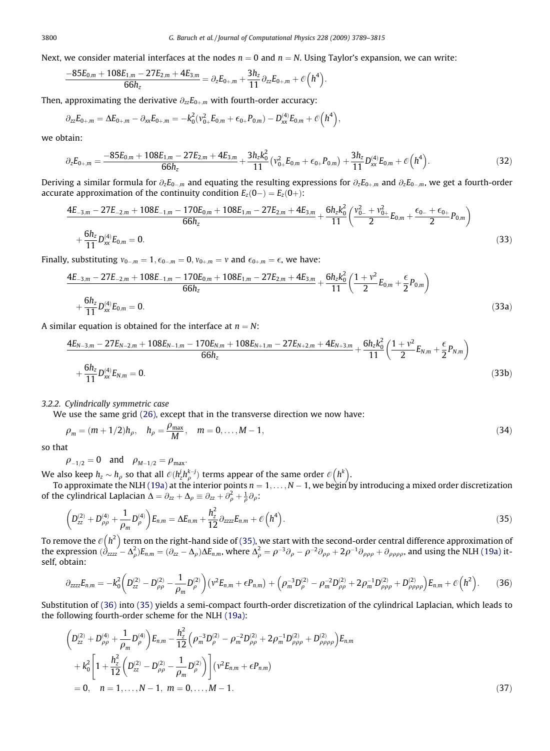<span id="page-11-0"></span>Next, we consider material interfaces at the nodes  $n = 0$  and  $n = N$ . Using Taylor's expansion, we can write:

$$
\frac{-85E_{0,m}+108E_{1,m}-27E_{2,m}+4E_{3,m}}{66h_z}=\partial_z E_{0+,m}+\frac{3h_z}{11}\partial_{zz}E_{0+,m}+\mathcal{O}\Big(h^4\Big).
$$

Then, approximating the derivative  $\partial_{zz}E_{0+m}$  with fourth-order accuracy:

$$
\partial_{zz} E_{0+,m} = \Delta E_{0+,m} - \partial_{xx} E_{0+,m} = - k_0^2 ( \nu_{0+}^2 E_{0,m} + \varepsilon_{0+} P_{0,m}) - D_{xx}^{(4)} E_{0,m} + \mathcal{O} \Big( h^4 \Big),
$$

we obtain:

$$
\partial_z E_{0+,m} = \frac{-85E_{0,m} + 108E_{1,m} - 27E_{2,m} + 4E_{3,m}}{66h_z} + \frac{3h_z k_0^2}{11} \left( v_{0+}^2 E_{0,m} + \epsilon_{0+} P_{0,m} \right) + \frac{3h_z}{11} D_{xx}^{(4)} E_{0,m} + \mathcal{O}\left(h^4\right). \tag{32}
$$

Deriving a similar formula for  $\partial_z E_{0-m}$  and equating the resulting expressions for  $\partial_z E_{0+m}$  and  $\partial_z E_{0-m}$ , we get a fourth-order accurate approximation of the continuity condition  $E_z(0-) = E_z(0+)$ :

$$
\frac{4E_{-3,m} - 27E_{-2,m} + 108E_{-1,m} - 170E_{0,m} + 108E_{1,m} - 27E_{2,m} + 4E_{3,m}}{66h_z} + \frac{6h_zk_0^2}{11}\left(\frac{v_{0-}^2 + v_{0+}^2}{2}E_{0,m} + \frac{\epsilon_{0-} + \epsilon_{0+}}{2}P_{0,m}\right) + \frac{6h_z}{11}D_{xx}^{(4)}E_{0,m} = 0.
$$
\n(33)

Finally, substituting  $v_{0-,m} = 1, \epsilon_{0-,m} = 0, v_{0+,m} = v$  and  $\epsilon_{0+,m} = \epsilon$ , we have:

$$
\frac{4E_{-3,m} - 27E_{-2,m} + 108E_{-1,m} - 170E_{0,m} + 108E_{1,m} - 27E_{2,m} + 4E_{3,m}}{66h_z} + \frac{6h_zk_0^2}{11}\left(\frac{1+v^2}{2}E_{0,m} + \frac{\epsilon}{2}P_{0,m}\right) + \frac{6h_z}{11}D_{xx}^{(4)}E_{0,m} = 0.
$$
\n(33a)

A similar equation is obtained for the interface at  $n = N$ :

$$
\frac{4E_{N-3,m} - 27E_{N-2,m} + 108E_{N-1,m} - 170E_{N,m} + 108E_{N+1,m} - 27E_{N+2,m} + 4E_{N+3,m}}{66h_z} + \frac{6h_zk_0^2}{11}\left(\frac{1+v^2}{2}E_{N,m} + \frac{\epsilon}{2}P_{N,m}\right) + \frac{6h_z}{11}D_{xx}^{(4)}E_{N,m} = 0.
$$
\n(33b)

# 3.2.2. Cylindrically symmetric case

We use the same grid [\(26\)](#page-10-0), except that in the transverse direction we now have:

$$
\rho_m = (m+1/2)h_\rho, \quad h_\rho = \frac{\rho_{\text{max}}}{M}, \quad m = 0, \dots, M-1,
$$
\n(34)

so that

$$
\rho_{-1/2} = 0
$$
 and  $\rho_{M-1/2} = \rho_{\text{max}}$ .

We also keep  $h_z \sim h_\rho$  so that all  $\mathcal{O}(h_z^i h_\rho^{k-j})$  terms appear of the same order  $\mathcal{O}(h^k)$ .

To approximate the NLH [\(19a\)](#page-8-0) at the interior points  $n = 1, \ldots, N - 1$ , we begin by introducing a mixed order discretization of the cylindrical Laplacian  $\Delta = \partial_{zz} + \Delta_{\rho} \equiv \partial_{zz} + \partial_{\rho}^2 + \frac{1}{\rho} \partial_{\rho}$ :

$$
\left(D_{zz}^{(2)}+D_{\rho\rho}^{(4)}+\frac{1}{\rho_m}D_{\rho}^{(4)}\right)E_{n,m}=\Delta E_{n,m}+\frac{h_z^2}{12}\partial_{zzzz}E_{n,m}+\mathcal{O}\left(h^4\right).
$$
\n(35)

To remove the  $\mathcal{\ell}(h^2)$  term on the right-hand side of (35), we start with the second-order central difference approximation of the expression  $(\partial_{zzzz}^2 - \Delta_\rho^2)E_{n,m} = (\partial_{zz} - \Delta_\rho)\Delta E_{n,m}$ , where  $\Delta_\rho^2 = \rho^{-3}\partial_\rho - \rho^{-2}\partial_{\rho\rho} + 2\rho^{-1}\partial_{\rho\rho\rho} + \partial_{\rho\rho\rho\rho}$ , and using the NLH [\(19a\)](#page-8-0) itself, obtain:

$$
\partial_{zzzz}E_{n,m} = -k_0^2 \left( D_{zz}^{(2)} - D_{\rho\rho}^{(2)} - \frac{1}{\rho_m} D_{\rho}^{(2)} \right) \left( v^2 E_{n,m} + \epsilon P_{n,m} \right) + \left( \rho_m^{-3} D_{\rho}^{(2)} - \rho_m^{-2} D_{\rho\rho}^{(2)} + 2 \rho_m^{-1} D_{\rho\rho\rho}^{(2)} + D_{\rho\rho\rho\rho}^{(2)} \right) E_{n,m} + \mathcal{O}\left(h^2\right). \tag{36}
$$

Substitution of (36) into (35) yields a semi-compact fourth-order discretization of the cylindrical Laplacian, which leads to the following fourth-order scheme for the NLH [\(19a\)](#page-8-0):

$$
\left(D_{zz}^{(2)} + D_{\rho\rho}^{(4)} + \frac{1}{\rho_m} D_{\rho}^{(4)}\right) E_{n,m} - \frac{h_z^2}{12} \left(\rho_m^{-3} D_{\rho}^{(2)} - \rho_m^{-2} D_{\rho\rho}^{(2)} + 2\rho_m^{-1} D_{\rho\rho\rho}^{(2)} + D_{\rho\rho\rho\rho}^{(2)}\right) E_{n,m} + k_0^2 \left[1 + \frac{h_z^2}{12} \left(D_{zz}^{(2)} - D_{\rho\rho}^{(2)} - \frac{1}{\rho_m} D_{\rho}^{(2)}\right)\right] \left(v^2 E_{n,m} + \epsilon P_{n,m}\right) = 0, \quad n = 1, ..., N - 1, \quad m = 0, ..., M - 1.
$$
\n(37)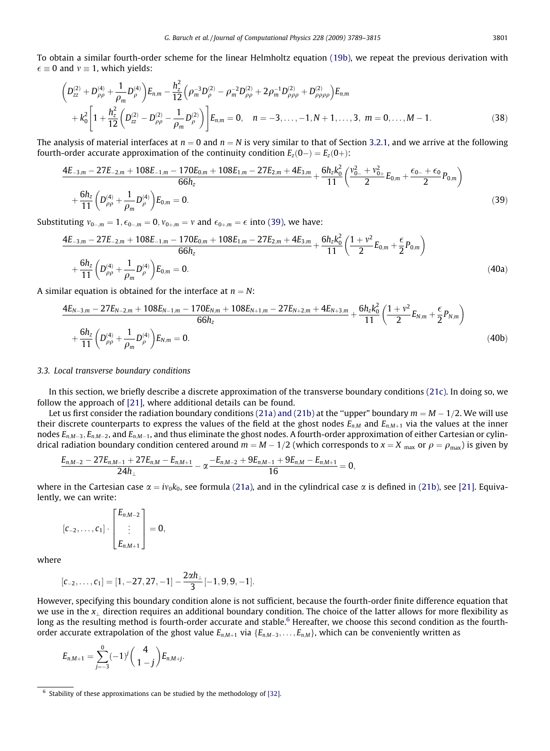<span id="page-12-0"></span>To obtain a similar fourth-order scheme for the linear Helmholtz equation [\(19b\)](#page-8-0), we repeat the previous derivation with  $\epsilon \equiv 0$  and  $v \equiv 1$ , which yields:

$$
\left(D_{zz}^{(2)} + D_{\rho\rho}^{(4)} + \frac{1}{\rho_m} D_{\rho}^{(4)}\right) E_{n,m} - \frac{h_z^2}{12} \left(\rho_m^{-3} D_{\rho}^{(2)} - \rho_m^{-2} D_{\rho\rho}^{(2)} + 2\rho_m^{-1} D_{\rho\rho\rho}^{(2)} + D_{\rho\rho\rho\rho}^{(2)}\right) E_{n,m} + k_0^2 \left[1 + \frac{h_z^2}{12} \left(D_{zz}^{(2)} - D_{\rho\rho}^{(2)} - \frac{1}{\rho_m} D_{\rho}^{(2)}\right)\right] E_{n,m} = 0, \quad n = -3, ..., -1, N+1, ..., 3, \quad m = 0, ..., M-1.
$$
\n(38)

The analysis of material interfaces at  $n = 0$  and  $n = N$  is very similar to that of Section 3.2.1, and we arrive at the following fourth-order accurate approximation of the continuity condition  $E_z(0-) = E_z(0+)$ :

$$
\frac{4E_{-3,m} - 27E_{-2,m} + 108E_{-1,m} - 170E_{0,m} + 108E_{1,m} - 27E_{2,m} + 4E_{3,m}}{66h_z} + \frac{6h_zk_0^2}{11}\left(\frac{v_{0-}^2 + v_{0+}^2}{2}E_{0,m} + \frac{\epsilon_{0-} + \epsilon_{0}}{2}P_{0,m}\right) + \frac{6h_z}{11}\left(D_{\rho\rho}^{(4)} + \frac{1}{\rho_m}D_{\rho}^{(4)}\right)E_{0,m} = 0.
$$
\n(39)

Substituting  $v_{0-,m} = 1, \epsilon_{0-,m} = 0, v_{0+,m} = v$  and  $\epsilon_{0+,m} = \epsilon$  into (39), we have:

$$
\frac{4E_{-3,m} - 27E_{-2,m} + 108E_{-1,m} - 170E_{0,m} + 108E_{1,m} - 27E_{2,m} + 4E_{3,m}}{66h_z} + \frac{6h_zk_0^2}{11}\left(\frac{1+v^2}{2}E_{0,m} + \frac{\epsilon}{2}P_{0,m}\right) + \frac{6h_z}{11}\left(D_{\rho\rho}^{(4)} + \frac{1}{\rho_m}D_{\rho}^{(4)}\right)E_{0,m} = 0.
$$
\n(40a)

A similar equation is obtained for the interface at  $n = N$ :

$$
\frac{4E_{N-3,m} - 27E_{N-2,m} + 108E_{N-1,m} - 170E_{N,m} + 108E_{N+1,m} - 27E_{N+2,m} + 4E_{N+3,m}}{66h_z} + \frac{6h_zk_0^2}{11}\left(\frac{1+v^2}{2}E_{N,m} + \frac{\epsilon}{2}P_{N,m}\right) + \frac{6h_z}{11}\left(D_{\rho\rho}^{(4)} + \frac{1}{\rho_m}D_{\rho}^{(4)}\right)E_{N,m} = 0.
$$
\n(40b)

#### 3.3. Local transverse boundary conditions

In this section, we briefly describe a discrete approximation of the transverse boundary conditions [\(21c\).](#page-9-0) In doing so, we follow the approach of [\[21\]](#page-26-0), where additional details can be found.

Let us first consider the radiation boundary conditions [\(21a\) and \(21b\)](#page-8-0) at the "upper" boundary  $m = M - 1/2$ . We will use their discrete counterparts to express the values of the field at the ghost nodes  $E_{n,M}$  and  $E_{n,M+1}$  via the values at the inner nodes  $E_{n,M-3}$ ,  $E_{n,M-2}$ , and  $E_{n,M-1}$ , and thus eliminate the ghost nodes. A fourth-order approximation of either Cartesian or cylindrical radiation boundary condition centered around  $m = M - 1/2$  (which corresponds to  $x = X_{\text{max}}$  or  $\rho = \rho_{\text{max}}$ ) is given by

$$
\frac{E_{n,M-2}-27E_{n,M-1}+27E_{n,M}-E_{n,M+1}}{24h_{\perp}}-\alpha\frac{-E_{n,M-2}+9E_{n,M-1}+9E_{n,M}-E_{n,M+1}}{16}=0,
$$

where in the Cartesian case  $\alpha = iv_0k_0$ , see formula [\(21a\)](#page-8-0), and in the cylindrical case  $\alpha$  is defined in [\(21b\),](#page-8-0) see [\[21\].](#page-26-0) Equivalently, we can write:

$$
[c_{-2},\ldots,c_1]\cdot \left[\begin{matrix}E_{n,M-2}\\ \vdots\\ E_{n,M+1}\end{matrix}\right]=0,
$$

where

$$
[c_{-2},\ldots,c_1]=[1,-27,27,-1]-\frac{2\alpha h_{\perp}}{3}[-1,9,9,-1].
$$

However, specifying this boundary condition alone is not sufficient, because the fourth-order finite difference equation that we use in the  $x_{\perp}$  direction requires an additional boundary condition. The choice of the latter allows for more flexibility as long as the resulting method is fourth-order accurate and stable.<sup>6</sup> Hereafter, we choose this second condition as the fourthorder accurate extrapolation of the ghost value  $E_{n,M+1}$  via  $\{E_{n,M-3},\ldots,E_{n,M}\}$ , which can be conveniently written as

$$
E_{n,M+1}=\sum_{j=-3}^0(-1)^j\binom{4}{1-j}E_{n,M+j}.
$$

 $6$  Stability of these approximations can be studied by the methodology of [\[32\]](#page-26-0).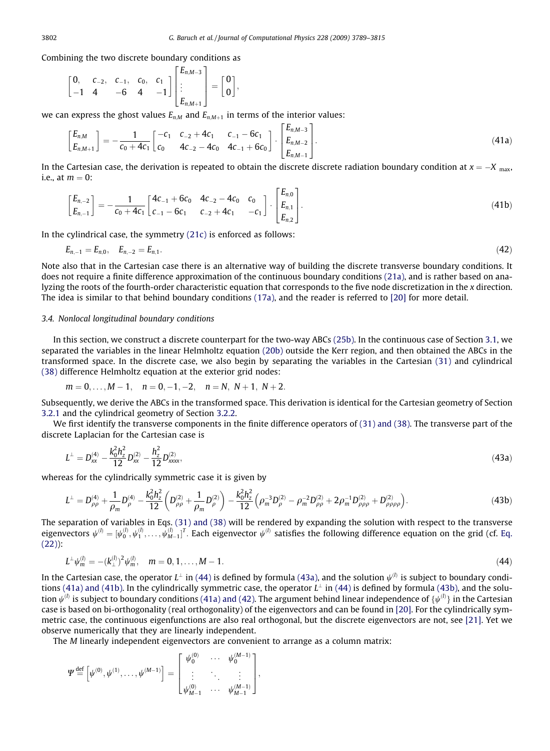;

<span id="page-13-0"></span>Combining the two discrete boundary conditions as

$$
\begin{bmatrix} 0, & c_{-2}, & c_{-1}, & c_0, & c_1 \\ -1 & 4 & -6 & 4 & -1 \end{bmatrix} \begin{bmatrix} E_{n,M-3} \\ \vdots \\ E_{n,M+1} \end{bmatrix} = \begin{bmatrix} 0 \\ 0 \end{bmatrix}
$$

we can express the ghost values  $E_{n,M}$  and  $E_{n,M+1}$  in terms of the interior values:

$$
\begin{bmatrix} E_{n,M} \\ E_{n,M+1} \end{bmatrix} = -\frac{1}{c_0 + 4c_1} \begin{bmatrix} -c_1 & c_{-2} + 4c_1 & c_{-1} - 6c_1 \\ c_0 & 4c_{-2} - 4c_0 & 4c_{-1} + 6c_0 \end{bmatrix} \cdot \begin{bmatrix} E_{n,M-3} \\ E_{n,M-2} \\ E_{n,M-1} \end{bmatrix} .
$$
\n(41a)

In the Cartesian case, the derivation is repeated to obtain the discrete discrete radiation boundary condition at  $x = -X_{\text{max}}$ , i.e., at  $m = 0$ :

$$
\begin{bmatrix} E_{n,-2} \\ E_{n,-1} \end{bmatrix} = -\frac{1}{c_0 + 4c_1} \begin{bmatrix} 4c_{-1} + 6c_0 & 4c_{-2} - 4c_0 & c_0 \\ c_{-1} - 6c_1 & c_{-2} + 4c_1 & -c_1 \end{bmatrix} \cdot \begin{bmatrix} E_{n,0} \\ E_{n,1} \\ E_{n,2} \end{bmatrix}.
$$
\n(41b)

In the cylindrical case, the symmetry  $(21c)$  is enforced as follows:

$$
E_{n,-1} = E_{n,0}, \quad E_{n,-2} = E_{n,1}.\tag{42}
$$

Note also that in the Cartesian case there is an alternative way of building the discrete transverse boundary conditions. It does not require a finite difference approximation of the continuous boundary conditions [\(21a\)](#page-8-0), and is rather based on analyzing the roots of the fourth-order characteristic equation that corresponds to the five node discretization in the x direction. The idea is similar to that behind boundary conditions [\(17a\),](#page-7-0) and the reader is referred to [\[20\]](#page-26-0) for more detail.

# 3.4. Nonlocal longitudinal boundary conditions

In this section, we construct a discrete counterpart for the two-way ABCs [\(25b\).](#page-9-0) In the continuous case of Section 3.1, we separated the variables in the linear Helmholtz equation (20b) outside the Kerr region, and then obtained the ABCs in the transformed space. In the discrete case, we also begin by separating the variables in the Cartesian [\(31\)](#page-10-0) and cylindrical [\(38\)](#page-12-0) difference Helmholtz equation at the exterior grid nodes:

$$
m = 0, \ldots, M - 1, \quad n = 0, -1, -2, \quad n = N, N + 1, N + 2.
$$

Subsequently, we derive the ABCs in the transformed space. This derivation is identical for the Cartesian geometry of Section 3.2.1 and the cylindrical geometry of Section 3.2.2.

We first identify the transverse components in the finite difference operators of [\(31\) and \(38\).](#page-10-0) The transverse part of the discrete Laplacian for the Cartesian case is

$$
L^{\perp} = D_{xx}^{(4)} - \frac{k_0^2 h_z^2}{12} D_{xx}^{(2)} - \frac{h_z^2}{12} D_{xxxx}^{(2)},
$$
\n(43a)

whereas for the cylindrically symmetric case it is given by

$$
L^{\perp} = D_{\rho\rho}^{(4)} + \frac{1}{\rho_m} D_{\rho}^{(4)} - \frac{k_0^2 h_z^2}{12} \left( D_{\rho\rho}^{(2)} + \frac{1}{\rho_m} D_{\rho}^{(2)} \right) - \frac{k_0^2 h_z^2}{12} \left( \rho_m^{-3} D_{\rho}^{(2)} - \rho_m^{-2} D_{\rho\rho}^{(2)} + 2 \rho_m^{-1} D_{\rho\rho\rho}^{(2)} + D_{\rho\rho\rho\rho}^{(2)} \right). \tag{43b}
$$

The separation of variables in Eqs. [\(31\) and \(38\)](#page-10-0) will be rendered by expanding the solution with respect to the transverse eigenvectors  $\psi^{(l)}=[\psi^{(l)}_0,\psi^{(l)}_1,\ldots,\psi^{(l)}_{M-1}]^T$ . Each eigenvector  $\psi^{(l)}$  satisfies the following difference equation on the grid (cf. [Eq.](#page-9-0) [\(22\)\)](#page-9-0):

$$
L^{\perp}\psi_m^{(l)} = -(k_{\perp}^{(l)})^2\psi_m^{(l)}, \quad m = 0, 1, \dots, M - 1. \tag{44}
$$

In the Cartesian case, the operator  $L^{\perp}$  in (44) is defined by formula (43a), and the solution  $\psi^{(l)}$  is subject to boundary conditions (41a) and (41b). In the cylindrically symmetric case, the operator  $L^{\perp}$  in (44) is defined by formula (43b), and the solution  $\psi^{(l)}$  is subject to boundary conditions (41a) and (42). The argument behind linear independence of  $\{\psi^{(l)}\}$  in the Cartesian case is based on bi-orthogonality (real orthogonality) of the eigenvectors and can be found in [\[20\]](#page-26-0). For the cylindrically symmetric case, the continuous eigenfunctions are also real orthogonal, but the discrete eigenvectors are not, see [\[21\].](#page-26-0) Yet we observe numerically that they are linearly independent.

The M linearly independent eigenvectors are convenient to arrange as a column matrix:

$$
\varPsi \mathbin{\stackrel{\rm def}{=}} \left[ \psi^{(0)}, \psi^{(1)}, \ldots, \psi^{(M-1)} \right] = \begin{bmatrix} \psi^{(0)}_0 & \cdots & \psi^{(M-1)}_0 \\ \vdots & \ddots & \vdots \\ \psi^{(0)}_{M-1} & \cdots & \psi^{(M-1)}_{M-1} \end{bmatrix},
$$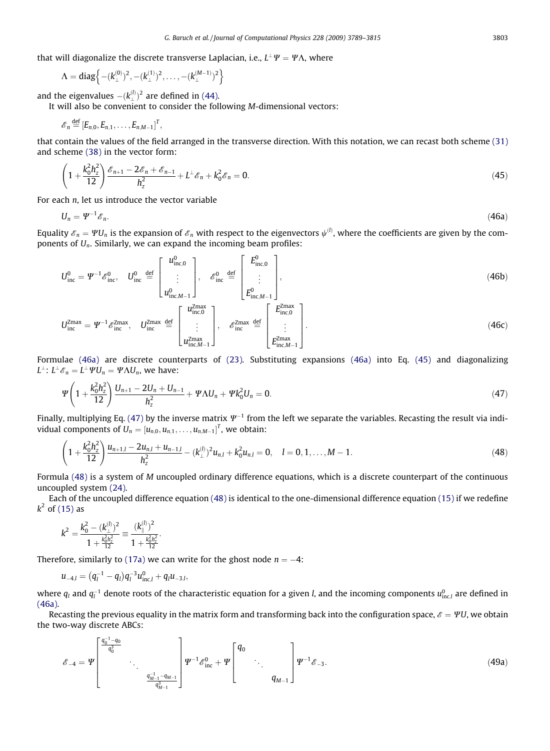<span id="page-14-0"></span>that will diagonalize the discrete transverse Laplacian, i.e.,  $L^{\perp}\Psi = \Psi \Lambda$ , where

$$
\Lambda = diag\left\{-(k_\perp^{(0)})^2,-(k_\perp^{(1)})^2,\ldots,-(k_\perp^{(M-1)})^2\right\}
$$

and the eigenvalues  $-(k_\perp^{(l)})^2$  are defined in [\(44\).](#page-13-0)

It will also be convenient to consider the following M-dimensional vectors:

$$
\mathscr{E}_n \stackrel{\text{def}}{=} [E_{n,0}, E_{n,1}, \ldots, E_{n,M-1}]^T,
$$

that contain the values of the field arranged in the transverse direction. With this notation, we can recast both scheme [\(31\)](#page-10-0) and scheme [\(38\)](#page-12-0) in the vector form:

$$
\left(1+\frac{k_0^2h_z^2}{12}\right)\frac{\mathscr{E}_{n+1}-2\mathscr{E}_n+\mathscr{E}_{n-1}}{h_z^2}+L^{\perp}\mathscr{E}_n+k_0^2\mathscr{E}_n=0.
$$
\n(45)

For each  $n$ , let us introduce the vector variable

$$
U_n = \Psi^{-1} \mathcal{E}_n. \tag{46a}
$$

Equality  $\mathscr{E}_n=\varPsi U_n$  is the expansion of  $\mathscr{E}_n$  with respect to the eigenvectors  $\psi^{(l)}$ , where the coefficients are given by the components of  $U_n$ . Similarly, we can expand the incoming beam profiles:

$$
U_{\rm inc}^{0} = \Psi^{-1} \mathcal{E}_{\rm inc}^{0}, \quad U_{\rm inc}^{0} \stackrel{\text{def}}{=} \begin{bmatrix} u_{\rm inc,0}^{0} \\ \vdots \\ u_{\rm inc,M-1}^{0} \end{bmatrix}, \quad \mathcal{E}_{\rm inc}^{0} \stackrel{\text{def}}{=} \begin{bmatrix} E_{\rm inc,0}^{0} \\ \vdots \\ E_{\rm inc,M-1}^{0} \end{bmatrix},
$$
\n
$$
U_{\rm inc}^{Z\text{max}} = \Psi^{-1} \mathcal{E}_{\rm inc}^{Z\text{max}}, \quad U_{\rm inc}^{Z\text{max}} \stackrel{\text{def}}{=} \begin{bmatrix} u_{\rm inc,0}^{Z\text{max}} \\ \vdots \\ u_{\rm inc,M-1}^{Z\text{max}} \end{bmatrix}, \quad \mathcal{E}_{\rm inc}^{Z\text{max}} \stackrel{\text{def}}{=} \begin{bmatrix} E_{\rm inc,0}^{Z\text{max}} \\ \vdots \\ E_{\rm inc,M-1}^{Z\text{max}} \end{bmatrix}.
$$
\n(46c)

Formulae (46a) are discrete counterparts of [\(23\).](#page-9-0) Substituting expansions (46a) into Eq. (45) and diagonalizing  $L^{\perp}$ :  $L^{\perp} \mathscr{E}_n = L^{\perp} \Psi U_n = \Psi \Lambda U_n$ , we have:

$$
\Psi\left(1+\frac{k_0^2h_z^2}{12}\right)\frac{U_{n+1}-2U_n+U_{n-1}}{h_z^2}+\Psi\Lambda U_n+\Psi k_0^2U_n=0.
$$
\n(47)

Finally, multiplying Eq. (47) by the inverse matrix  $\Psi^{-1}$  from the left we separate the variables. Recasting the result via individual components of  $U_n = \left[u_{n,0}, u_{n,1}, \ldots, u_{n,M-1}\right]^T$ , we obtain:

$$
\left(1+\frac{k_0^2h_2^2}{12}\right)\frac{u_{n+1,l}-2u_{n,l}+u_{n-1,l}}{h_2^2}-(k_{\perp}^{(l)})^2u_{n,l}+k_0^2u_{n,l}=0, \quad l=0,1,\ldots,M-1.
$$
\n(48)

Formula (48) is a system of M uncoupled ordinary difference equations, which is a discrete counterpart of the continuous uncoupled system [\(24\)](#page-9-0).

Each of the uncoupled difference equation (48) is identical to the one-dimensional difference equation [\(15\)](#page-7-0) if we redefine  $k^2$  of [\(15\)](#page-7-0) as

$$
k^2 = \frac{k_0^2 - (k_{\perp}^{(l)})^2}{1 + \frac{k_0^2 h_z^2}{12}} = \frac{(k_{\parallel}^{(l)})^2}{1 + \frac{k_0^2 h_z^2}{12}}.
$$

Therefore, similarly to [\(17a\)](#page-7-0) we can write for the ghost node  $n = -4$ :

$$
u_{-4,l} = (q_l^{-1} - q_l)q_l^{-3}u_{\text{inc},l}^0 + q_lu_{-3,l},
$$

where  $q_l$  and  $q_l^{-1}$  denote roots of the characteristic equation for a given *l*, and the incoming components  $u^0_{\rm inc,l}$  are defined in (46a).

Recasting the previous equality in the matrix form and transforming back into the configuration space,  $\mathscr{E} = \Psi U$ , we obtain the two-way discrete ABCs:

$$
\mathscr{E}_{-4} = \Psi \left[ \begin{array}{c} \frac{q_0^{-1} - q_0}{q_0^3} \\ \vdots \\ \frac{q_{M-1}^{-1} - q_{M-1}}{q_{M-1}^3} \end{array} \right] \Psi^{-1} \mathscr{E}_{inc}^0 + \Psi \left[ \begin{array}{c} q_0 \\ \vdots \\ q_{M-1} \end{array} \right] \Psi^{-1} \mathscr{E}_{-3}.
$$
\n(49a)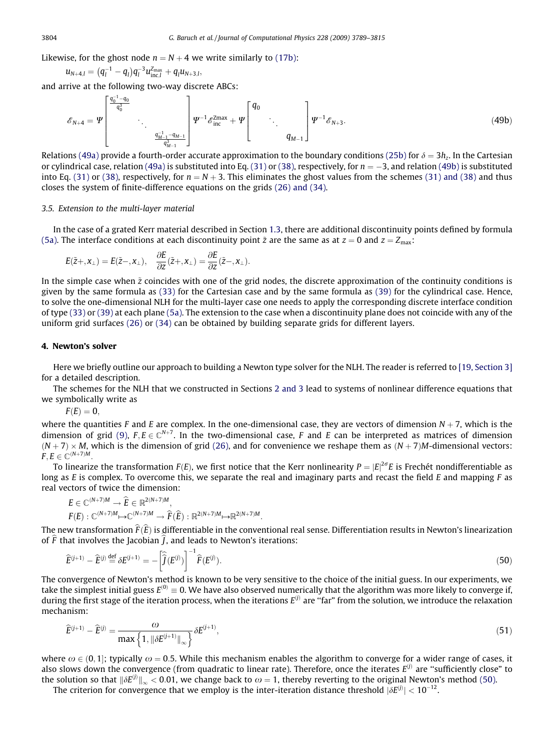<span id="page-15-0"></span>Likewise, for the ghost node  $n = N + 4$  we write similarly to [\(17b\)](#page-7-0):

$$
u_{N+4,l} = (q_l^{-1} - q_l)q_l^{-3}u_{\text{inc},l}^{Z_{\text{max}}} + q_l u_{N+3,l},
$$

and arrive at the following two-way discrete ABCs:

$$
\mathscr{E}_{N+4} = \Psi \left[ \begin{array}{c} \frac{q_0^{-1} - q_0}{q_0^3} \\ \vdots \\ \frac{q_{M-1}^{-1} - q_{M-1}}{q_{M-1}^3} \end{array} \right] \Psi^{-1} \mathscr{E}_{\text{inc}}^{\text{Zmax}} + \Psi \left[ \begin{array}{c} q_0 \\ \vdots \\ q_{M-1} \end{array} \right] \Psi^{-1} \mathscr{E}_{N+3}.
$$
\n(49b)

Relations [\(49a\)](#page-14-0) provide a fourth-order accurate approximation to the boundary conditions [\(25b\)](#page-9-0) for  $\delta = 3h$ . In the Cartesian or cylindrical case, relation [\(49a\)](#page-14-0) is substituted into Eq. [\(31\)](#page-10-0) or [\(38\)](#page-12-0), respectively, for  $n = -3$ , and relation (49b) is substituted into Eq. [\(31\)](#page-10-0) or [\(38\)](#page-12-0), respectively, for  $n = N + 3$ . This eliminates the ghost values from the schemes [\(31\) and \(38\)](#page-10-0) and thus closes the system of finite-difference equations on the grids [\(26\) and \(34\).](#page-10-0)

## 3.5. Extension to the multi-layer material

In the case of a grated Kerr material described in Section 1.3, there are additional discontinuity points defined by formula [\(5a\)](#page-4-0). The interface conditions at each discontinuity point  $\tilde{z}$  are the same as at  $z = 0$  and  $z = Z_{\text{max}}$ :

$$
E(\tilde{z}+,\mathbf{x}_{\perp})=E(\tilde{z}-,\mathbf{x}_{\perp}),\quad \frac{\partial E}{\partial z}(\tilde{z}+,\mathbf{x}_{\perp})=\frac{\partial E}{\partial z}(\tilde{z}-,\mathbf{x}_{\perp}).
$$

In the simple case when  $\tilde{z}$  coincides with one of the grid nodes, the discrete approximation of the continuity conditions is given by the same formula as [\(33\)](#page-11-0) for the Cartesian case and by the same formula as [\(39\)](#page-12-0) for the cylindrical case. Hence, to solve the one-dimensional NLH for the multi-layer case one needs to apply the corresponding discrete interface condition of type [\(33\)](#page-11-0) or [\(39\)](#page-12-0) at each plane [\(5a\)](#page-4-0). The extension to the case when a discontinuity plane does not coincide with any of the uniform grid surfaces [\(26\)](#page-10-0) or [\(34\)](#page-11-0) can be obtained by building separate grids for different layers.

# 4. Newton's solver

Here we briefly outline our approach to building a Newton type solver for the NLH. The reader is referred to [\[19, Section 3\]](#page-26-0) for a detailed description.

The schemes for the NLH that we constructed in Sections 2 and 3 lead to systems of nonlinear difference equations that we symbolically write as

 $F(E) = 0$ ,

where the quantities F and E are complex. In the one-dimensional case, they are vectors of dimension  $N + 7$ , which is the dimension of grid [\(9\)](#page-5-0),  $F, E \in \mathbb{C}^{N+7}$ . In the two-dimensional case, F and E can be interpreted as matrices of dimension  $(N + 7)$  × M, which is the dimension of grid [\(26\)](#page-10-0), and for convenience we reshape them as  $(N + 7)$ M-dimensional vectors:  $F, E \in \mathbb{C}^{(N+7)M}$ .

To linearize the transformation  $F(E)$ , we first notice that the Kerr nonlinearity  $P=|E|^{2\sigma}E$  is Frechét nondifferentiable as long as E is complex. To overcome this, we separate the real and imaginary parts and recast the field E and mapping F as real vectors of twice the dimension:

$$
\begin{aligned} &E\in\mathbb{C}^{(N+7)M}\rightarrow\widehat{E}\in\mathbb{R}^{2(N+7)M},\\ &F(E):\mathbb{C}^{(N+7)M}\!\mapsto\!\mathbb{C}^{(N+7)M}\rightarrow\widehat{F}(\widehat{E}):\mathbb{R}^{2(N+7)M}\!\mapsto\!\mathbb{R}^{2(N+7)M}.\end{aligned}
$$

The new transformation  $\hat{F}(\hat{E})$  is differentiable in the conventional real sense. Differentiation results in Newton's linearization of  $\widehat{F}$  that involves the Jacobian  $\widehat{I}$ , and leads to Newton's iterations:

$$
\widehat{E}^{(j+1)} - \widehat{E}^{(j)} \stackrel{\text{def}}{=} \delta E^{(j+1)} = -\left[\widehat{\widehat{J}}(E^{(j)})\right]^{-1} \widehat{F}(E^{(j)}).
$$
\n(50)

The convergence of Newton's method is known to be very sensitive to the choice of the initial guess. In our experiments, we take the simplest initial guess  $E^{(0)} \equiv 0$ . We have also observed numerically that the algorithm was more likely to converge if, during the first stage of the iteration process, when the iterations  $E^{(j)}$  are "far" from the solution, we introduce the relaxation mechanism:

$$
\widehat{E}^{(j+1)} - \widehat{E}^{(j)} = \frac{\omega}{\max\left\{1, \left\|\delta E^{(j+1)}\right\|_{\infty}\right\}} \delta E^{(j+1)},\tag{51}
$$

where  $\omega \in (0,1]$ ; typically  $\omega = 0.5$ . While this mechanism enables the algorithm to converge for a wider range of cases, it also slows down the convergence (from quadratic to linear rate). Therefore, once the iterates  $E^{(j)}$  are "sufficiently close" to the solution so that  $\|\delta E^{(j)}\|_\infty < 0.01$ , we change back to  $\omega=1$ , thereby reverting to the original Newton's method (50).

The criterion for convergence that we employ is the inter-iteration distance threshold  $|\delta E^{(j)}| < 10^{-12}$ .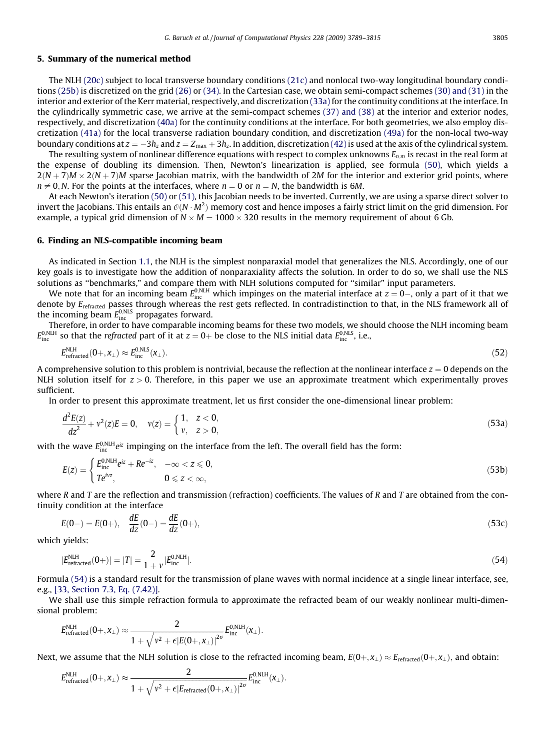# <span id="page-16-0"></span>5. Summary of the numerical method

The NLH (20c) subject to local transverse boundary conditions [\(21c\)](#page-9-0) and nonlocal two-way longitudinal boundary conditions [\(25b\)](#page-9-0) is discretized on the grid [\(26\)](#page-10-0) or [\(34\).](#page-11-0) In the Cartesian case, we obtain semi-compact schemes [\(30\) and \(31\)](#page-10-0) in the interior and exterior of the Kerr material, respectively, and discretization [\(33a\)](#page-11-0) for the continuity conditions at the interface. In the cylindrically symmetric case, we arrive at the semi-compact schemes [\(37\) and \(38\)](#page-11-0) at the interior and exterior nodes, respectively, and discretization [\(40a\)](#page-12-0) for the continuity conditions at the interface. For both geometries, we also employ discretization [\(41a\)](#page-13-0) for the local transverse radiation boundary condition, and discretization [\(49a\)](#page-14-0) for the non-local two-way boundary conditions at  $z = -3h_z$  and  $z = Z_{\text{max}} + 3h_z$ . In addition, discretization [\(42\)](#page-13-0) is used at the axis of the cylindrical system.

The resulting system of nonlinear difference equations with respect to complex unknowns  $E_{nm}$  is recast in the real form at the expense of doubling its dimension. Then, Newton's linearization is applied, see formula [\(50\),](#page-15-0) which yields a  $2(N+7)M \times 2(N+7)M$  sparse Jacobian matrix, with the bandwidth of 2M for the interior and exterior grid points, where  $n \neq 0$ , N. For the points at the interfaces, where  $n = 0$  or  $n = N$ , the bandwidth is 6M.

At each Newton's iteration [\(50\)](#page-15-0) or [\(51\),](#page-15-0) this Jacobian needs to be inverted. Currently, we are using a sparse direct solver to invert the Jacobians. This entails an  $\mathcal{O}(N\cdot M^2)$  memory cost and hence imposes a fairly strict limit on the grid dimension. For example, a typical grid dimension of  $N \times M = 1000 \times 320$  results in the memory requirement of about 6 Gb.

# 6. Finding an NLS-compatible incoming beam

As indicated in Section 1.1, the NLH is the simplest nonparaxial model that generalizes the NLS. Accordingly, one of our key goals is to investigate how the addition of nonparaxiality affects the solution. In order to do so, we shall use the NLS solutions as ''benchmarks," and compare them with NLH solutions computed for ''similar" input parameters.

We note that for an incoming beam  $E_{\rm inc}^{0,\rm NLH}$  which impinges on the material interface at  $z=0$ –, only a part of it that we denote by E<sub>refracted</sub> passes through whereas the rest gets reflected. In contradistinction to that, in the NLS framework all of the incoming beam  $E_{\rm inc}^{0,\rm NLS}$  propagates forward.

Therefore, in order to have comparable incoming beams for these two models, we should choose the NLH incoming beam  $E_{\rm inc}^{0,\rm NLI}$  so that the *refracted* part of it at  $z=0+$  be close to the NLS initial data  $E_{\rm inc}^{0,\rm NLS}$ , i.e.,

$$
E_{\text{refracted}}^{\text{NLH}}(0+, x_\perp) \approx E_{\text{inc}}^{0,\text{NLS}}(x_\perp). \tag{52}
$$

A comprehensive solution to this problem is nontrivial, because the reflection at the nonlinear interface  $z = 0$  depends on the NLH solution itself for  $z > 0$ . Therefore, in this paper we use an approximate treatment which experimentally proves sufficient.

In order to present this approximate treatment, let us first consider the one-dimensional linear problem:

$$
\frac{d^2E(z)}{dz^2} + v^2(z)E = 0, \quad v(z) = \begin{cases} 1, & z < 0, \\ v, & z > 0, \end{cases}
$$
\n(53a)

with the wave  $E_{\rm inc}^{0,\rm N LH}$ e $^{\rm iz}$  impinging on the interface from the left. The overall field has the form:

$$
E(z) = \begin{cases} E_{\text{inc}}^{0,\text{NLH}} e^{iz} + Re^{-iz}, & -\infty < z \leq 0, \\ Te^{ivz}, & 0 \leq z < \infty, \end{cases} \tag{53b}
$$

where R and T are the reflection and transmission (refraction) coefficients. The values of R and T are obtained from the continuity condition at the interface

$$
E(0-) = E(0+), \quad \frac{dE}{dz}(0-) = \frac{dE}{dz}(0+), \tag{53c}
$$

which yields:

$$
|E_{\text{refracted}}^{\text{NLH}}(0+)| = |T| = \frac{2}{1+\nu} |E_{\text{inc}}^{0,\text{NLH}}|.
$$
\n(54)

Formula (54) is a standard result for the transmission of plane waves with normal incidence at a single linear interface, see, e.g., [\[33, Section 7.3, Eq. \(7.42\)\]](#page-26-0).

We shall use this simple refraction formula to approximate the refracted beam of our weakly nonlinear multi-dimensional problem:

$$
E_{\textrm{refracted}}^{\textrm{NLH}}(0+, x_\perp) \approx \frac{2}{1+\sqrt{\nu^2+\epsilon|E(0+, x_\perp)|^{2\sigma}}} E_{\textrm{inc}}^{0,\textrm{NLH}}(x_\perp).
$$

Next, we assume that the NLH solution is close to the refracted incoming beam,  $E(0+,x_1) \approx E_{refraction}(0+,x_1)$ , and obtain:

$$
E_{\textrm{refracted}}^{\textrm{NLH}}(0+,x_\perp) \approx \frac{2}{1+\sqrt{\nu^2+\epsilon|E_{\textrm{refracted}}(0+,x_\perp)|^{2\sigma}}} E_{\textrm{inc}}^{\textrm{O,NLH}}(x_\perp).
$$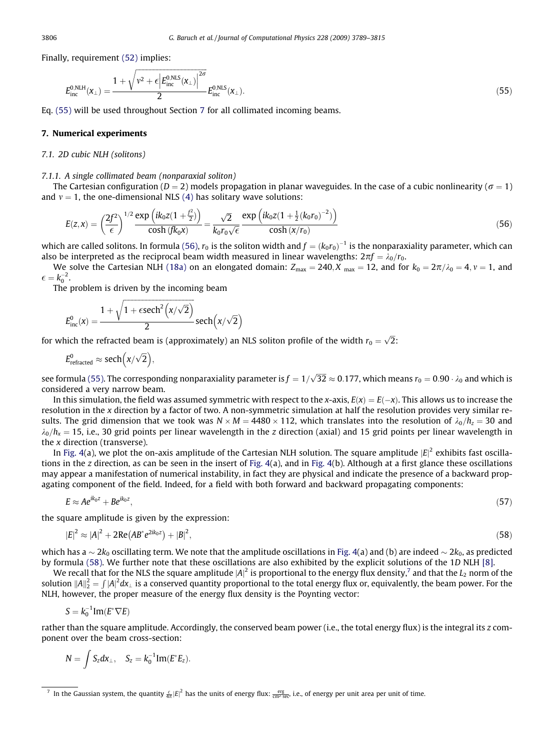<span id="page-17-0"></span>Finally, requirement [\(52\)](#page-16-0) implies:

$$
E_{\rm inc}^{0,\rm NLF}(\mathbf{x}_{\perp}) = \frac{1 + \sqrt{\mathbf{v}^2 + \epsilon \left| E_{\rm inc}^{0,\rm NLS}(\mathbf{x}_{\perp}) \right|^{2\sigma}}}{2} E_{\rm inc}^{0,\rm NLS}(\mathbf{x}_{\perp}).
$$
 (55)

Eq. (55) will be used throughout Section 7 for all collimated incoming beams.

# 7. Numerical experiments

# 7.1. 2D cubic NLH (solitons)

# 7.1.1. A single collimated beam (nonparaxial soliton)

The Cartesian configuration ( $D = 2$ ) models propagation in planar waveguides. In the case of a cubic nonlinearity ( $\sigma = 1$ ) and  $v = 1$ , the one-dimensional NLS [\(4\)](#page-1-0) has solitary wave solutions:

$$
E(z,x) = \left(\frac{2f^2}{\epsilon}\right)^{1/2} \frac{\exp\left(ik_0 z (1 + \frac{f^2}{2})\right)}{\cosh(f k_0 x)} = \frac{\sqrt{2}}{k_0 r_0 \sqrt{\epsilon}} \frac{\exp\left(ik_0 z (1 + \frac{1}{2}(k_0 r_0)^{-2})\right)}{\cosh(x/r_0)}
$$
(56)

which are called solitons. In formula (56),  $r_0$  is the soliton width and  $f=(k_0r_0)^{-1}$  is the nonparaxiality parameter, which can also be interpreted as the reciprocal beam width measured in linear wavelengths:  $2\pi f = \lambda_0/r_0$ .

We solve the Cartesian NLH [\(18a\)](#page-7-0) on an elongated domain:  $Z_{\text{max}} = 240$ ,  $X_{\text{max}} = 12$ , and for  $k_0 = 2\pi/\lambda_0 = 4$ ,  $\nu = 1$ , and  $\epsilon = k_0^{-2}.$ 

The problem is driven by the incoming beam

$$
E^0_{\text{inc}}(x) = \frac{1+\sqrt{1+\varepsilon sech^2\left(x/\sqrt{2}\right)}}{2}\text{sech}\Big(x/\sqrt{2}\Big)
$$

for which the refracted beam is (approximately) an NLS soliton profile of the width  $r_0 = \sqrt{2}$ :

$$
E_{\text{refracted}}^0 \approx \text{sech}\left(\frac{x}{\sqrt{2}}\right),
$$

see formula (55). The corresponding nonparaxiality parameter is  $f=1/\sqrt{32}\approx 0.177$ , which means  $r_0=0.90\cdot\lambda_0$  and which is considered a very narrow beam.

In this simulation, the field was assumed symmetric with respect to the x-axis,  $E(x) = E(-x)$ . This allows us to increase the resolution in the x direction by a factor of two. A non-symmetric simulation at half the resolution provides very similar results. The grid dimension that we took was  $N \times M = 4480 \times 112$ , which translates into the resolution of  $\lambda_0/h_z = 30$  and  $\lambda_0/h_x = 15$ , i.e., 30 grid points per linear wavelength in the z direction (axial) and 15 grid points per linear wavelength in the x direction (transverse).

In [Fig. 4](#page-18-0)(a), we plot the on-axis amplitude of the Cartesian NLH solution. The square amplitude  $|E|^2$  exhibits fast oscillations in the z direction, as can be seen in the insert of Fig.  $4(a)$ , and in Fig.  $4(b)$ . Although at a first glance these oscillations may appear a manifestation of numerical instability, in fact they are physical and indicate the presence of a backward propagating component of the field. Indeed, for a field with both forward and backward propagating components:

$$
E \approx A e^{ik_0 z} + B e^{ik_0 z},\tag{57}
$$

the square amplitude is given by the expression:

$$
|E|^2 \approx |A|^2 + 2\text{Re}(AB^*e^{2ik_0z}) + |B|^2,\tag{58}
$$

which has a  $\sim 2k_0$  oscillating term. We note that the amplitude oscillations in [Fig. 4\(](#page-18-0)a) and (b) are indeed  $\sim 2k_0$ , as predicted by formula (58). We further note that these oscillations are also exhibited by the explicit solutions of the 1D NLH [\[8\]](#page-25-0).

We recall that for the NLS the square amplitude  $|A|^2$  is proportional to the energy flux density,<sup>7</sup> and that the  $L_2$  norm of the solution  $||A||_2^2 = \int |A|^2 dx_$  is a conserved quantity proportional to the total energy flux or, equivalently, the beam power. For the NLH, however, the proper measure of the energy flux density is the Poynting vector:

$$
S=k_0^{-1}\text{Im}(E^*\nabla E)
$$

rather than the square amplitude. Accordingly, the conserved beam power (i.e., the total energy flux) is the integral its z component over the beam cross-section:

$$
N=\int S_z dx_\perp, \quad S_z=k_0^{-1} \text{Im}(E^*E_z).
$$

 $^7$  In the Gaussian system, the quantity  $\frac{\ell}{4\pi}|E|^2$  has the units of energy flux:  $\frac{\rm{erg}}{\rm{cm}^2\,\rm{sec}}$  i.e., of energy per unit area per unit of time.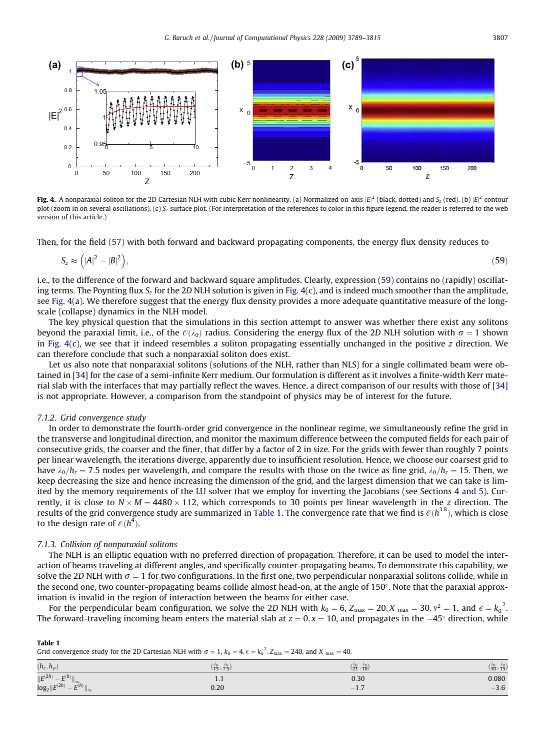<span id="page-18-0"></span>

**Fig. 4.** A nonparaxial soliton for the 2D Cartesian NLH with cubic Kerr nonlinearity. (a) Normalized on-axis  $|E|^2$  (black, dotted) and S<sub>z</sub> (red). (b)  $|E|^2$  contour plot (zoom in on several oscillations). (c)  $S_z$  surface plot. (For interpretation of the references to color in this figure legend, the reader is referred to the web version of this article.)

Then, for the field [\(57\)](#page-17-0) with both forward and backward propagating components, the energy flux density reduces to

$$
S_z \approx \left( |A|^2 - |B|^2 \right),\tag{59}
$$

i.e., to the difference of the forward and backward square amplitudes. Clearly, expression (59) contains no (rapidly) oscillating terms. The Poynting flux  $S<sub>z</sub>$  for the 2D NLH solution is given in Fig. 4(c), and is indeed much smoother than the amplitude, see Fig. 4(a). We therefore suggest that the energy flux density provides a more adequate quantitative measure of the longscale (collapse) dynamics in the NLH model.

The key physical question that the simulations in this section attempt to answer was whether there exist any solitons beyond the paraxial limit, i.e., of the  $\mathcal{O}(\lambda_0)$  radius. Considering the energy flux of the 2D NLH solution with  $\sigma = 1$  shown in Fig.  $4(c)$ , we see that it indeed resembles a soliton propagating essentially unchanged in the positive z direction. We can therefore conclude that such a nonparaxial soliton does exist.

Let us also note that nonparaxial solitons (solutions of the NLH, rather than NLS) for a single collimated beam were obtained in [\[34\]](#page-26-0) for the case of a semi-infinite Kerr medium. Our formulation is different as it involves a finite-width Kerr material slab with the interfaces that may partially reflect the waves. Hence, a direct comparison of our results with those of [\[34\]](#page-26-0) is not appropriate. However, a comparison from the standpoint of physics may be of interest for the future.

# 7.1.2. Grid convergence study

In order to demonstrate the fourth-order grid convergence in the nonlinear regime, we simultaneously refine the grid in the transverse and longitudinal direction, and monitor the maximum difference between the computed fields for each pair of consecutive grids, the coarser and the finer, that differ by a factor of 2 in size. For the grids with fewer than roughly 7 points per linear wavelength, the iterations diverge, apparently due to insufficient resolution. Hence, we choose our coarsest grid to have  $\lambda_0/h_z = 7.5$  nodes per wavelength, and compare the results with those on the twice as fine grid,  $\lambda_0/h_z = 15$ . Then, we keep decreasing the size and hence increasing the dimension of the grid, and the largest dimension that we can take is limited by the memory requirements of the LU solver that we employ for inverting the Jacobians (see Sections 4 and 5). Currently, it is close to  $N \times M = 4480 \times 112$ , which corresponds to 30 points per linear wavelength in the z direction. The results of the grid convergence study are summarized in Table 1. The convergence rate that we find is  $\mathcal{O}(h^{3.8}),$  which is close to the design rate of  $\mathcal{O}(h^4).$ 

# 7.1.3. Collision of nonparaxial solitons

The NLH is an elliptic equation with no preferred direction of propagation. Therefore, it can be used to model the interaction of beams traveling at different angles, and specifically counter-propagating beams. To demonstrate this capability, we solve the 2D NLH with  $\sigma = 1$  for two configurations. In the first one, two perpendicular nonparaxial solitons collide, while in the second one, two counter-propagating beams collide almost head-on, at the angle of  $150^\circ$ . Note that the paraxial approximation is invalid in the region of interaction between the beams for either case.

For the perpendicular beam configuration, we solve the 2D NLH with  $k_0=6$ ,  $Z_{\rm max}=20, X_{\rm max}=30, v^2=1$ , and  $\epsilon=k_0^{-2}$ . The forward-traveling incoming beam enters the material slab at  $z = 0$ ,  $x = 10$ , and propagates in the  $-45^{\circ}$  direction, while

| Grid convergence study for the 2D Cartesian NLH with $\sigma = 1$ , $k_0 = 4$ , $\epsilon = k_0^{-2}$ , $Z_{\text{max}} = 240$ , and $X_{\text{max}} = 40$ . |                                  |                                  |                                                |  |  |
|--------------------------------------------------------------------------------------------------------------------------------------------------------------|----------------------------------|----------------------------------|------------------------------------------------|--|--|
| $(h_z, h_o)$                                                                                                                                                 | $(\frac{40}{15}, \frac{40}{75})$ | $(\frac{40}{21}, \frac{40}{10})$ | $(\frac{\lambda_0}{30}, \frac{\lambda_0}{15})$ |  |  |
| $\ E^{(2h)} - E^{(h)}\ _{\infty}$<br>$\log_2 \ E^{(2h)} - E^{(h)}\ _{\infty}$                                                                                |                                  | 0.30                             | 0.080                                          |  |  |
|                                                                                                                                                              | 0.20                             | $-1.7$                           | $-3.6$                                         |  |  |

Table 1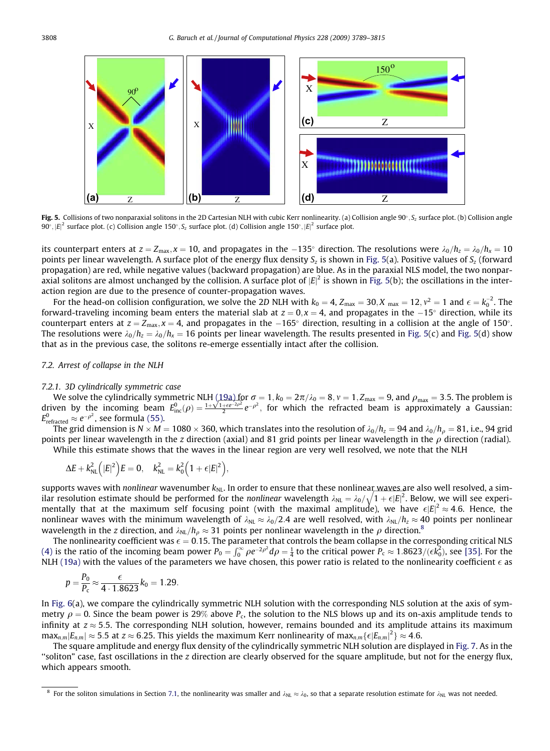

Fig. 5. Collisions of two nonparaxial solitons in the 2D Cartesian NLH with cubic Kerr nonlinearity. (a) Collision angle 90°,  $S<sub>z</sub>$  surface plot. (b) Collision angle  $90^\circ, |E|^2$  surface plot. (c) Collision angle 150°,  $S_z$  surface plot. (d) Collision angle 150°,  $|E|^2$  surface plot.

its counterpart enters at  $z = Z_{\text{max}}$ ,  $x = 10$ , and propagates in the -135° direction. The resolutions were  $\lambda_0/h_z = \lambda_0/h_x = 10$ points per linear wavelength. A surface plot of the energy flux density  $S_z$  is shown in Fig. 5(a). Positive values of  $S_z$  (forward propagation) are red, while negative values (backward propagation) are blue. As in the paraxial NLS model, the two nonparaxial solitons are almost unchanged by the collision. A surface plot of  $|E|^2$  is shown in Fig. 5(b); the oscillations in the interaction region are due to the presence of counter-propagation waves.

For the head-on collision configuration, we solve the 2D NLH with  $k_0=4$ ,  $Z_{\rm max}=30, X_{\rm max}=12, v^2=1$  and  $\epsilon=k_0^{-2}.$  The forward-traveling incoming beam enters the material slab at  $z = 0$ ,  $x = 4$ , and propagates in the  $-15^{\circ}$  direction, while its counterpart enters at  $z = Z_{\text{max}}$ ,  $x = 4$ , and propagates in the  $-165^{\circ}$  direction, resulting in a collision at the angle of 150°. The resolutions were  $\lambda_0/h_z = \lambda_0/h_x = 16$  points per linear wavelength. The results presented in Fig. 5(c) and Fig. 5(d) show that as in the previous case, the solitons re-emerge essentially intact after the collision.

# 7.2. Arrest of collapse in the NLH

# 7.2.1. 3D cylindrically symmetric case

We solve the cylindrically symmetric NLH  $(19a)$  for  $\sigma = 1$ ,  $k_0 = 2\pi/\lambda_0 = 8$ ,  $v = 1$ ,  $Z_{\text{max}} = 9$ , and  $\rho_{\text{max}} = 3.5$ . The problem is We solve the cylindrically symmetric NLH (19a) for  $\sigma = 1$ ,  $k_0 = 2\pi/\lambda_0 = 8$ ,  $\nu = 1$ ,  $Z_{\text{max}} = 9$ , and  $\rho_{\text{max}} = 3.5$ . The problem is driven by the incoming beam  $E_{\text{inc}}^0(\rho) = \frac{1 + \sqrt{1 + e^{-2\rho^2}}}{2} e^{-\rho^2}$ , for which  $E^0_{\rm refracted}\approx e^{-\rho^2}$ , see formula [\(55\)](#page-17-0).

The grid dimension is  $N \times M = 1080 \times 360$ , which translates into the resolution of  $\lambda_0/h_z = 94$  and  $\lambda_0/h_\rho = 81$ , i.e., 94 grid points per linear wavelength in the z direction (axial) and 81 grid points per linear wavelength in the  $\rho$  direction (radial). While this estimate shows that the waves in the linear region are very well resolved, we note that the NLH

$$
\Delta E + k_{NL}^2\Big(|E|^2\Big)E = 0, \quad k_{NL}^2 = k_0^2\Big(1 + \varepsilon|E|^2\Big),
$$

supports waves with *nonlinear w*avenumber  $k_{\rm NL}$ . In order to ensure that these nonlinea<u>r waves a</u>re also well resolved, a similar resolution estimate should be performed for the nonlinear wavelength  $\lambda_{\rm NL}=\lambda_0/\sqrt{1+\epsilon|E|^2}$ . Below, we will see experimentally that at the maximum self focusing point (with the maximal amplitude), we have  $\epsilon|E|^2\approx 4.6$ . Hence, the nonlinear waves with the minimum wavelength of  $\lambda_{NL} \approx \lambda_0/2.4$  are well resolved, with  $\lambda_{NL}/h_z \approx 40$  points per nonlinear wavelength in the z direction, and  $\lambda_{NL}/h_\rho \approx 31$  points per nonlinear wavelength in the  $\rho$  direction.<sup>8</sup>

The nonlinearity coefficient was  $\epsilon = 0.15$ . The parameter that controls the beam collapse in the corresponding critical NLS [\(4\)](#page-1-0) is the ratio of the incoming beam power  $P_0 = \int_0^\infty \rho e^{-2\rho^2} d\rho = \frac{1}{4}$  to the critical power  $P_c \approx 1.8623/(\epsilon k_0^2)$ , see [\[35\].](#page-26-0) For the NLH [\(19a\)](#page-8-0) with the values of the parameters we have chosen, this power ratio is related to the nonlinearity coefficient  $\epsilon$  as

$$
p = \frac{P_0}{P_c} \approx \frac{\epsilon}{4 \cdot 1.8623} k_0 = 1.29.
$$

In [Fig. 6\(](#page-20-0)a), we compare the cylindrically symmetric NLH solution with the corresponding NLS solution at the axis of symmetry  $\rho = 0$ . Since the beam power is 29% above  $P_c$ , the solution to the NLS blows up and its on-axis amplitude tends to infinity at  $z \approx 5.5$ . The corresponding NLH solution, however, remains bounded and its amplitude attains its maximum  $\max_{n,m}|E_{n,m}|\approx 5.5$  at  $z\approx 6.25.$  This yields the maximum Kerr nonlinearity of max $_{n,m}\{\epsilon |E_{n,m}|^2\}\approx 4.6.$ 

The square amplitude and energy flux density of the cylindrically symmetric NLH solution are displayed in [Fig. 7](#page-20-0). As in the ''soliton" case, fast oscillations in the z direction are clearly observed for the square amplitude, but not for the energy flux, which appears smooth.

<sup>&</sup>lt;sup>8</sup> For the soliton simulations in Section 7.1, the nonlinearity was smaller and  $\lambda_{\text{NI}} \approx \lambda_0$ , so that a separate resolution estimate for  $\lambda_{\text{NI}}$  was not needed.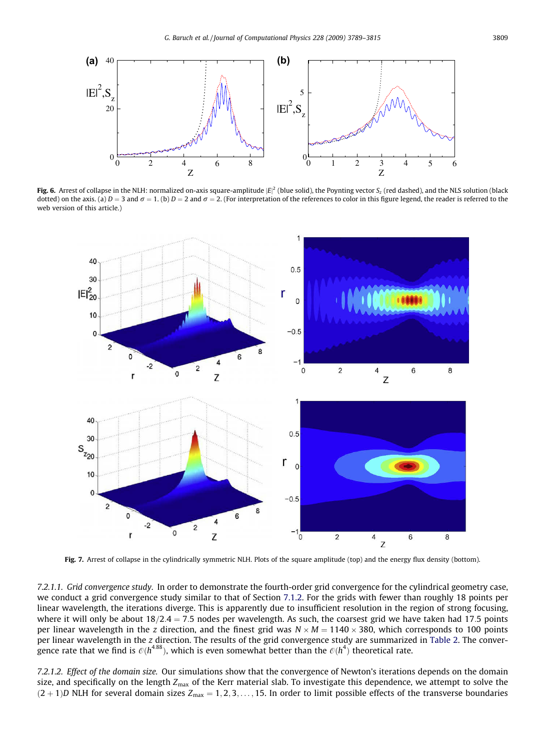<span id="page-20-0"></span>

**Fig. 6.** Arrest of collapse in the NLH: normalized on-axis square-amplitude  $|E|^2$  (blue solid), the Poynting vector S<sub>z</sub> (red dashed), and the NLS solution (black dotted) on the axis. (a)  $D = 3$  and  $\sigma = 1$ . (b)  $D = 2$  and  $\sigma = 2$ . (For interpretation of the references to color in this figure legend, the reader is referred to the web version of this article.)



Fig. 7. Arrest of collapse in the cylindrically symmetric NLH. Plots of the square amplitude (top) and the energy flux density (bottom).

7.2.1.1. Grid convergence study. In order to demonstrate the fourth-order grid convergence for the cylindrical geometry case, we conduct a grid convergence study similar to that of Section 7.1.2. For the grids with fewer than roughly 18 points per linear wavelength, the iterations diverge. This is apparently due to insufficient resolution in the region of strong focusing, where it will only be about  $18/2.4 = 7.5$  nodes per wavelength. As such, the coarsest grid we have taken had 17.5 points per linear wavelength in the z direction, and the finest grid was  $N \times M = 1140 \times 380$ , which corresponds to 100 points per linear wavelength in the z direction. The results of the grid convergence study are summarized in [Table 2](#page-21-0). The convergence rate that we find is  $\mathcal{O}(h^{4.88})$ , which is even somewhat better than the  $\mathcal{O}(h^4)$  theoretical rate.

7.2.1.2. Effect of the domain size. Our simulations show that the convergence of Newton's iterations depends on the domain size, and specifically on the length  $Z_{\text{max}}$  of the Kerr material slab. To investigate this dependence, we attempt to solve the  $(2 + 1)D$  NLH for several domain sizes  $Z_{\text{max}} = 1, 2, 3, \ldots, 15$ . In order to limit possible effects of the transverse boundaries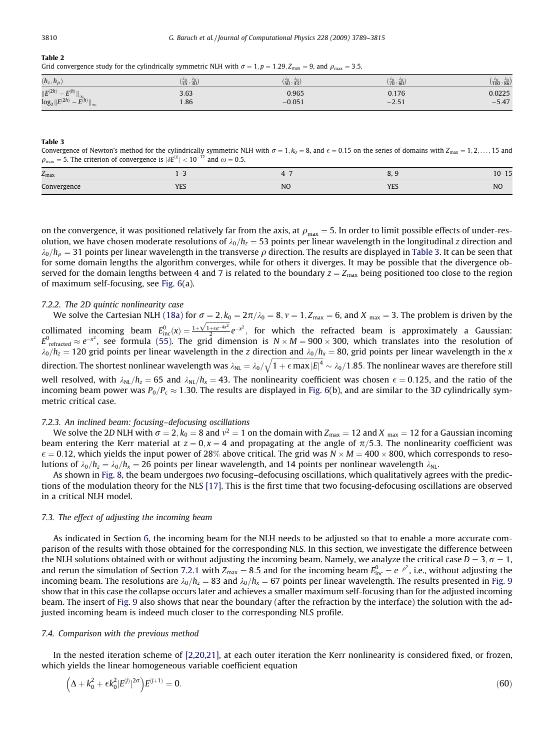# <span id="page-21-0"></span>Table 2

Grid convergence study for the cylindrically symmetric NLH with  $\sigma = 1$ ,  $p = 1.29$ ,  $Z_{\text{max}} = 9$ , and  $\rho_{\text{max}} = 3.5$ .

| $(h_z, h_\rho)$                                                                        | $(\frac{40}{35}, \frac{40}{30})$ | 0 <sup>2</sup><br>$\sqrt{50}$ , 43, | $(\frac{40}{70}, \frac{40}{60})$ | 40 <sub>2</sub><br>(100, 86) |
|----------------------------------------------------------------------------------------|----------------------------------|-------------------------------------|----------------------------------|------------------------------|
| $\ E^{(2h)}$<br>$\left\Vert \mathbf{E}^{\left( h\right) }\right\Vert _{\infty}$<br>$-$ | 3.63                             | 0.965                               | 0.176                            | 0.0225                       |
| $log_2  E^{(2h)}  $<br>$\overline{E(h)}$<br>$-$<br>$\mathsf{II}\infty$                 | 1.86                             | $-0.051$                            | $-2.51$                          | F A7<br>$-5.41$              |

#### Table 3

Convergence of Newton's method for the cylindrically symmetric NLH with  $\sigma = 1, k_0 = 8$ , and  $\epsilon = 0.15$  on the series of domains with  $Z_{\text{max}} = 1, 2, ..., 15$  and  $\rho_{\text{max}} = 5$ . The criterion of convergence is  $|\delta E^{(j)}| < 10^{-12}$  and  $\omega = 0.5$ .

| $Z_{\rm max}$             |                        |                |                                | .<br>$10 -$<br>- 1 J |
|---------------------------|------------------------|----------------|--------------------------------|----------------------|
| $\sqrt{2}$<br>Convergence | VEC<br>1E <sub>2</sub> | N <sub>O</sub> | <b>A</b> TC<br>1 <sub>LO</sub> | N <sub>O</sub>       |

on the convergence, it was positioned relatively far from the axis, at  $\rho_{\rm max} = 5$ . In order to limit possible effects of under-resolution, we have chosen moderate resolutions of  $\lambda_0/h_z = 53$  points per linear wavelength in the longitudinal z direction and  $\lambda_0/h_0 = 31$  points per linear wavelength in the transverse  $\rho$  direction. The results are displayed in Table 3. It can be seen that for some domain lengths the algorithm converges, while for others it diverges. It may be possible that the divergence observed for the domain lengths between 4 and 7 is related to the boundary  $z = Z_{\text{max}}$  being positioned too close to the region of maximum self-focusing, see [Fig. 6\(](#page-20-0)a).

#### 7.2.2. The 2D quintic nonlinearity case

We solve the Cartesian NLH [\(18a\)](#page-7-0) for  $\sigma = 2$ ,  $k_0 = 2\pi/\lambda_0 = 8$ ,  $\nu = 1$ ,  $Z_{\text{max}} = 6$ , and  $X_{\text{max}} = 3$ . The problem is driven by the we solve the eartestant NET (16a) for  $\sigma = 2\mu$ ,  $\omega = 2\mu$ ,  $\mu_0 = 0$ ,  $\tau = 1$ ,  $\epsilon_{\text{max}} = 0$ , and  $\lambda_{\text{max}} = 9$ . The problem is arrived by the collimated incoming beam  $E_{\text{inc}}^0(x) = \frac{1 + \sqrt{1 + e^{-4x^2}}}{2} e^{-x^2}$ , for which  $E^0$ <sub>refracted</sub>  $\approx e^{-x^2}$ , see formula [\(55\).](#page-17-0) The grid dimension is  $N \times M = 900 \times 300$ , which translates into the resolution of  $\lambda_0/h_z = 120$  grid points per linear wavelength in the z direction and  $\lambda_0/h_x = 80$ , grid points per linear wavelength in the x direction. The shortest nonlinear wavelength was  $\lambda_\text{NL} = \lambda_\text{0}/2$  $\sqrt{1 + \epsilon \max |E|^4}$  $\sim \lambda_0/1.85$ . The nonlinear waves are therefore still well resolved, with  $\lambda_{NL}/h_z = 65$  and  $\lambda_{NL}/h_x = 43$ . The nonlinearity coefficient was chosen  $\epsilon = 0.125$ , and the ratio of the incoming beam power was  $P_0/P_c \approx 1.30$ . The results are displayed in [Fig. 6](#page-20-0)(b), and are similar to the 3D cylindrically symmetric critical case.

# 7.2.3. An inclined beam: focusing–defocusing oscillations

We solve the 2D NLH with  $\sigma = 2$ ,  $k_0 = 8$  and  $v^2 = 1$  on the domain with  $Z_{\text{max}} = 12$  and  $X_{\text{max}} = 12$  for a Gaussian incoming beam entering the Kerr material at  $z = 0$ ,  $x = 4$  and propagating at the angle of  $\pi/5.3$ . The nonlinearity coefficient was  $\epsilon = 0.12$ , which yields the input power of 28% above critical. The grid was  $N \times M = 400 \times 800$ , which corresponds to resolutions of  $\lambda_0/h_z = \lambda_0/h_x = 26$  points per linear wavelength, and 14 points per nonlinear wavelength  $\lambda_{NL}$ .

As shown in [Fig. 8,](#page-22-0) the beam undergoes two focusing–defocusing oscillations, which qualitatively agrees with the predictions of the modulation theory for the NLS [\[17\]](#page-26-0). This is the first time that two focusing-defocusing oscillations are observed in a critical NLH model.

# 7.3. The effect of adjusting the incoming beam

As indicated in Section 6, the incoming beam for the NLH needs to be adjusted so that to enable a more accurate comparison of the results with those obtained for the corresponding NLS. In this section, we investigate the difference between the NLH solutions obtained with or without adjusting the incoming beam. Namely, we analyze the critical case  $D = 3$ ,  $\sigma = 1$ , and rerun the simulation of Section 7.2.1 with Z<sub>max</sub> = 8.5 and for the incoming beam  $E_{\text{inc}}^0=e^{-\rho^2}$ , i.e., without adjusting the incoming beam. The resolutions are  $\lambda_0/h_z = 83$  and  $\lambda_0/h_x = 67$  points per linear wavelength. The results presented in [Fig. 9](#page-22-0) show that in this case the collapse occurs later and achieves a smaller maximum self-focusing than for the adjusted incoming beam. The insert of [Fig. 9](#page-22-0) also shows that near the boundary (after the refraction by the interface) the solution with the adjusted incoming beam is indeed much closer to the corresponding NLS profile.

# 7.4. Comparison with the previous method

In the nested iteration scheme of [\[2,20,21\],](#page-25-0) at each outer iteration the Kerr nonlinearity is considered fixed, or frozen, which yields the linear homogeneous variable coefficient equation

$$
\left(\Delta + k_0^2 + \epsilon k_0^2 |E^{(j)}|^{2\sigma}\right) E^{(j+1)} = 0. \tag{60}
$$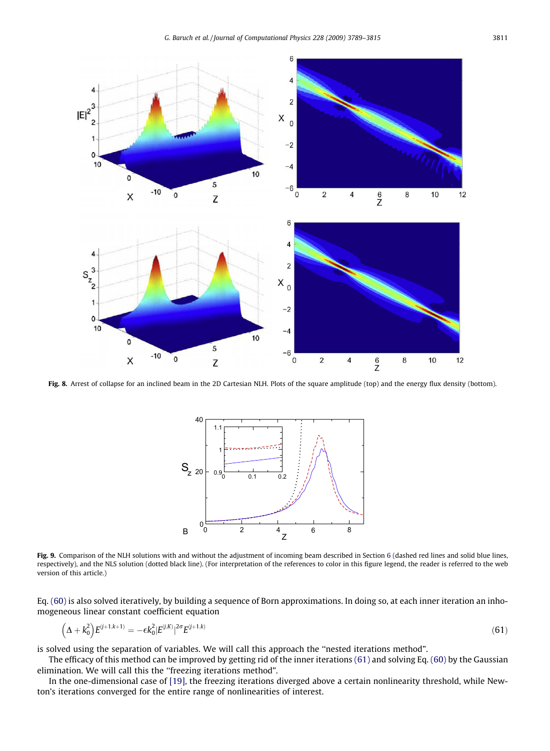<span id="page-22-0"></span>

Fig. 8. Arrest of collapse for an inclined beam in the 2D Cartesian NLH. Plots of the square amplitude (top) and the energy flux density (bottom).



Fig. 9. Comparison of the NLH solutions with and without the adjustment of incoming beam described in Section 6 (dashed red lines and solid blue lines, respectively), and the NLS solution (dotted black line). (For interpretation of the references to color in this figure legend, the reader is referred to the web version of this article.)

Eq. [\(60\)](#page-21-0) is also solved iteratively, by building a sequence of Born approximations. In doing so, at each inner iteration an inhomogeneous linear constant coefficient equation

$$
\left(\Delta + k_0^2\right) E^{(j+1,k+1)} = -\epsilon k_0^2 |E^{(j,k)}|^{2\sigma} E^{(j+1,k)} \tag{61}
$$

is solved using the separation of variables. We will call this approach the ''nested iterations method".

The efficacy of this method can be improved by getting rid of the inner iterations (61) and solving Eq. [\(60\)](#page-21-0) by the Gaussian elimination. We will call this the ''freezing iterations method".

In the one-dimensional case of [\[19\]](#page-26-0), the freezing iterations diverged above a certain nonlinearity threshold, while Newton's iterations converged for the entire range of nonlinearities of interest.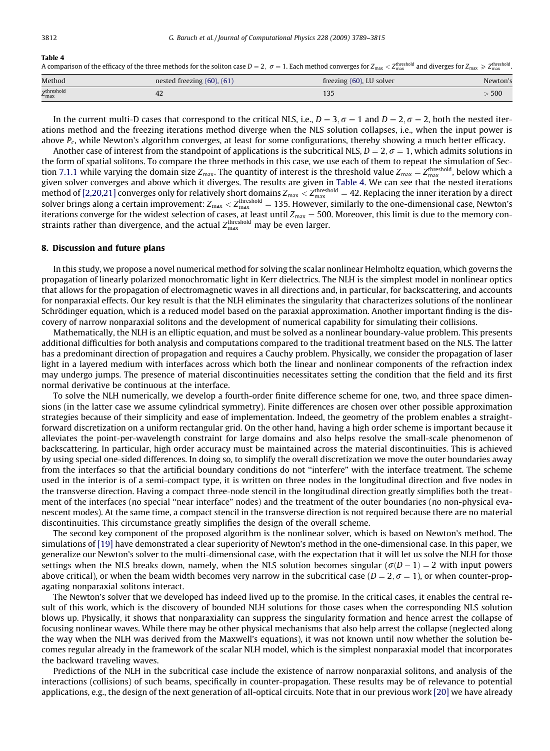#### Table 4

A comparison of the efficacy of the three methods for the soliton case  $D=2, \; \sigma=1.$  Each method converges for  $Z_{\rm max} < Z_{\rm max}^{\rm th}$  and diverges for  $Z_{\rm max} \geqslant Z_{\rm max}^{\rm th}$ 

| Method                                     | nested freezing $(60)$ , $(61)$ | freezing (60), LU solver | Newton's |
|--------------------------------------------|---------------------------------|--------------------------|----------|
| <sub>7</sub> threshold<br>$L_{\text{max}}$ | 42                              |                          | 500      |

In the current multi-D cases that correspond to the critical NLS, i.e.,  $D = 3$ ;  $\sigma = 1$  and  $D = 2$ ,  $\sigma = 2$ , both the nested iterations method and the freezing iterations method diverge when the NLS solution collapses, i.e., when the input power is above  $P_c$ , while Newton's algorithm converges, at least for some configurations, thereby showing a much better efficacy.

Another case of interest from the standpoint of applications is the subcritical NLS,  $D = 2$ ,  $\sigma = 1$ , which admits solutions in the form of spatial solitons. To compare the three methods in this case, we use each of them to repeat the simulation of Section 7.1.1 while varying the domain size Z<sub>max</sub>. The quantity of interest is the threshold value Z<sub>max</sub> = Z $_{\rm max}^{\rm threshold}$ , below which a given solver converges and above which it diverges. The results are given in Table 4. We can see that the nested iterations method of [\[2,20,21\]](#page-25-0) converges only for relatively short domains  $Z_{\rm max} < Z_{\rm max}^{\rm threshold} = 42$ . Replacing the inner iteration by a direct solver brings along a certain improvement:  $Z_{\max} < Z_{\max}^{\rm threshold} = 135$ . However, similarly to the one-dimensional case, Newton's iterations converge for the widest selection of cases, at least until  $Z_{\text{max}} = 500$ . Moreover, this limit is due to the memory constraints rather than divergence, and the actual  $Z_{\rm max}^{\rm threshold}$  may be even larger.

# 8. Discussion and future plans

In this study, we propose a novel numerical method for solving the scalar nonlinear Helmholtz equation, which governs the propagation of linearly polarized monochromatic light in Kerr dielectrics. The NLH is the simplest model in nonlinear optics that allows for the propagation of electromagnetic waves in all directions and, in particular, for backscattering, and accounts for nonparaxial effects. Our key result is that the NLH eliminates the singularity that characterizes solutions of the nonlinear Schrödinger equation, which is a reduced model based on the paraxial approximation. Another important finding is the discovery of narrow nonparaxial solitons and the development of numerical capability for simulating their collisions.

Mathematically, the NLH is an elliptic equation, and must be solved as a nonlinear boundary-value problem. This presents additional difficulties for both analysis and computations compared to the traditional treatment based on the NLS. The latter has a predominant direction of propagation and requires a Cauchy problem. Physically, we consider the propagation of laser light in a layered medium with interfaces across which both the linear and nonlinear components of the refraction index may undergo jumps. The presence of material discontinuities necessitates setting the condition that the field and its first normal derivative be continuous at the interface.

To solve the NLH numerically, we develop a fourth-order finite difference scheme for one, two, and three space dimensions (in the latter case we assume cylindrical symmetry). Finite differences are chosen over other possible approximation strategies because of their simplicity and ease of implementation. Indeed, the geometry of the problem enables a straightforward discretization on a uniform rectangular grid. On the other hand, having a high order scheme is important because it alleviates the point-per-wavelength constraint for large domains and also helps resolve the small-scale phenomenon of backscattering. In particular, high order accuracy must be maintained across the material discontinuities. This is achieved by using special one-sided differences. In doing so, to simplify the overall discretization we move the outer boundaries away from the interfaces so that the artificial boundary conditions do not ''interfere" with the interface treatment. The scheme used in the interior is of a semi-compact type, it is written on three nodes in the longitudinal direction and five nodes in the transverse direction. Having a compact three-node stencil in the longitudinal direction greatly simplifies both the treatment of the interfaces (no special ''near interface" nodes) and the treatment of the outer boundaries (no non-physical evanescent modes). At the same time, a compact stencil in the transverse direction is not required because there are no material discontinuities. This circumstance greatly simplifies the design of the overall scheme.

The second key component of the proposed algorithm is the nonlinear solver, which is based on Newton's method. The simulations of [\[19\]](#page-26-0) have demonstrated a clear superiority of Newton's method in the one-dimensional case. In this paper, we generalize our Newton's solver to the multi-dimensional case, with the expectation that it will let us solve the NLH for those settings when the NLS breaks down, namely, when the NLS solution becomes singular ( $\sigma(D - 1) = 2$  with input powers above critical), or when the beam width becomes very narrow in the subcritical case ( $D = 2, \sigma = 1$ ), or when counter-propagating nonparaxial solitons interact.

The Newton's solver that we developed has indeed lived up to the promise. In the critical cases, it enables the central result of this work, which is the discovery of bounded NLH solutions for those cases when the corresponding NLS solution blows up. Physically, it shows that nonparaxiality can suppress the singularity formation and hence arrest the collapse of focusing nonlinear waves. While there may be other physical mechanisms that also help arrest the collapse (neglected along the way when the NLH was derived from the Maxwell's equations), it was not known until now whether the solution becomes regular already in the framework of the scalar NLH model, which is the simplest nonparaxial model that incorporates the backward traveling waves.

Predictions of the NLH in the subcritical case include the existence of narrow nonparaxial solitons, and analysis of the interactions (collisions) of such beams, specifically in counter-propagation. These results may be of relevance to potential applications, e.g., the design of the next generation of all-optical circuits. Note that in our previous work [\[20\]](#page-26-0) we have already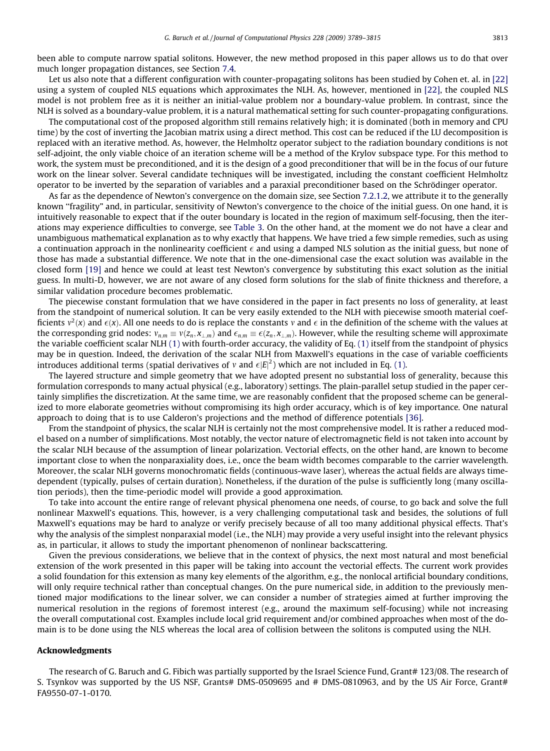been able to compute narrow spatial solitons. However, the new method proposed in this paper allows us to do that over much longer propagation distances, see Section 7.4.

Let us also note that a different configuration with counter-propagating solitons has been studied by Cohen et. al. in [\[22\]](#page-26-0) using a system of coupled NLS equations which approximates the NLH. As, however, mentioned in [\[22\],](#page-26-0) the coupled NLS model is not problem free as it is neither an initial-value problem nor a boundary-value problem. In contrast, since the NLH is solved as a boundary-value problem, it is a natural mathematical setting for such counter-propagating configurations.

The computational cost of the proposed algorithm still remains relatively high; it is dominated (both in memory and CPU time) by the cost of inverting the Jacobian matrix using a direct method. This cost can be reduced if the LU decomposition is replaced with an iterative method. As, however, the Helmholtz operator subject to the radiation boundary conditions is not self-adjoint, the only viable choice of an iteration scheme will be a method of the Krylov subspace type. For this method to work, the system must be preconditioned, and it is the design of a good preconditioner that will be in the focus of our future work on the linear solver. Several candidate techniques will be investigated, including the constant coefficient Helmholtz operator to be inverted by the separation of variables and a paraxial preconditioner based on the Schrödinger operator.

As far as the dependence of Newton's convergence on the domain size, see Section 7.2.1.2, we attribute it to the generally known ''fragility" and, in particular, sensitivity of Newton's convergence to the choice of the initial guess. On one hand, it is intuitively reasonable to expect that if the outer boundary is located in the region of maximum self-focusing, then the iterations may experience difficulties to converge, see [Table 3.](#page-21-0) On the other hand, at the moment we do not have a clear and unambiguous mathematical explanation as to why exactly that happens. We have tried a few simple remedies, such as using a continuation approach in the nonlinearity coefficient  $\epsilon$  and using a damped NLS solution as the initial guess, but none of those has made a substantial difference. We note that in the one-dimensional case the exact solution was available in the closed form [\[19\]](#page-26-0) and hence we could at least test Newton's convergence by substituting this exact solution as the initial guess. In multi-D, however, we are not aware of any closed form solutions for the slab of finite thickness and therefore, a similar validation procedure becomes problematic.

The piecewise constant formulation that we have considered in the paper in fact presents no loss of generality, at least from the standpoint of numerical solution. It can be very easily extended to the NLH with piecewise smooth material coefficients  $v^2(x)$  and  $\epsilon(x)$ . All one needs to do is replace the constants v and  $\epsilon$  in the definition of the scheme with the values at the corresponding grid nodes:  $v_{n,m} \equiv v(z_n, x_{\perp,m})$  and  $\epsilon_{n,m} \equiv \epsilon(z_n, x_{\perp,m})$ . However, while the resulting scheme will approximate the variable coefficient scalar NLH [\(1\)](#page-1-0) with fourth-order accuracy, the validity of Eq. [\(1\)](#page-1-0) itself from the standpoint of physics may be in question. Indeed, the derivation of the scalar NLH from Maxwell's equations in the case of variable coefficients introduces additional terms (spatial derivatives of  $v$  and  $\epsilon|E|^2$ ) which are not included in Eq. [\(1\)](#page-1-0).

The layered structure and simple geometry that we have adopted present no substantial loss of generality, because this formulation corresponds to many actual physical (e.g., laboratory) settings. The plain-parallel setup studied in the paper certainly simplifies the discretization. At the same time, we are reasonably confident that the proposed scheme can be generalized to more elaborate geometries without compromising its high order accuracy, which is of key importance. One natural approach to doing that is to use Calderon's projections and the method of difference potentials [\[36\]](#page-26-0).

From the standpoint of physics, the scalar NLH is certainly not the most comprehensive model. It is rather a reduced model based on a number of simplifications. Most notably, the vector nature of electromagnetic field is not taken into account by the scalar NLH because of the assumption of linear polarization. Vectorial effects, on the other hand, are known to become important close to when the nonparaxiality does, i.e., once the beam width becomes comparable to the carrier wavelength. Moreover, the scalar NLH governs monochromatic fields (continuous-wave laser), whereas the actual fields are always timedependent (typically, pulses of certain duration). Nonetheless, if the duration of the pulse is sufficiently long (many oscillation periods), then the time-periodic model will provide a good approximation.

To take into account the entire range of relevant physical phenomena one needs, of course, to go back and solve the full nonlinear Maxwell's equations. This, however, is a very challenging computational task and besides, the solutions of full Maxwell's equations may be hard to analyze or verify precisely because of all too many additional physical effects. That's why the analysis of the simplest nonparaxial model (i.e., the NLH) may provide a very useful insight into the relevant physics as, in particular, it allows to study the important phenomenon of nonlinear backscattering.

Given the previous considerations, we believe that in the context of physics, the next most natural and most beneficial extension of the work presented in this paper will be taking into account the vectorial effects. The current work provides a solid foundation for this extension as many key elements of the algorithm, e.g., the nonlocal artificial boundary conditions, will only require technical rather than conceptual changes. On the pure numerical side, in addition to the previously mentioned major modifications to the linear solver, we can consider a number of strategies aimed at further improving the numerical resolution in the regions of foremost interest (e.g., around the maximum self-focusing) while not increasing the overall computational cost. Examples include local grid requirement and/or combined approaches when most of the domain is to be done using the NLS whereas the local area of collision between the solitons is computed using the NLH.

# Acknowledgments

The research of G. Baruch and G. Fibich was partially supported by the Israel Science Fund, Grant# 123/08. The research of S. Tsynkov was supported by the US NSF, Grants# DMS-0509695 and # DMS-0810963, and by the US Air Force, Grant# FA9550-07-1-0170.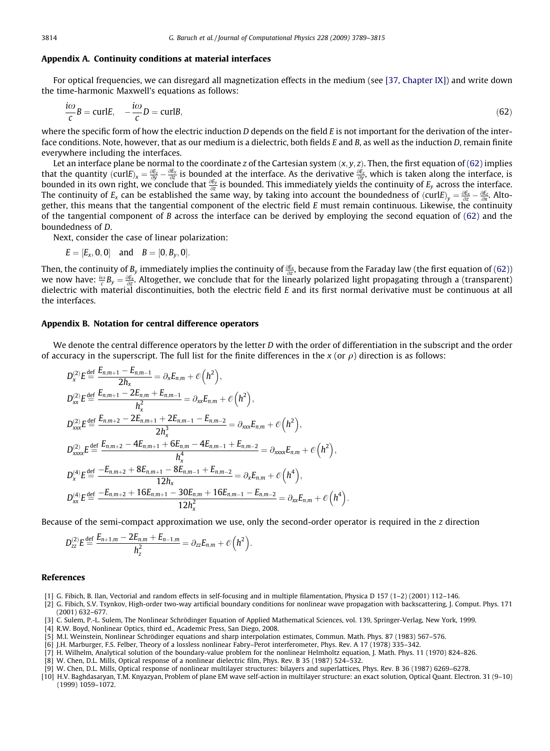# <span id="page-25-0"></span>Appendix A. Continuity conditions at material interfaces

For optical frequencies, we can disregard all magnetization effects in the medium (see [\[37, Chapter IX\]\)](#page-26-0) and write down the time-harmonic Maxwell's equations as follows:

$$
\frac{i\omega}{c}B = \text{curl}E, \quad -\frac{i\omega}{c}D = \text{curl}B,\tag{62}
$$

where the specific form of how the electric induction D depends on the field  $E$  is not important for the derivation of the interface conditions. Note, however, that as our medium is a dielectric, both fields E and B, as well as the induction D, remain finite everywhere including the interfaces.

Let an interface plane be normal to the coordinate z of the Cartesian system  $(x, y, z)$ . Then, the first equation of (62) implies that the quantity (curlE)<sub>x</sub> =  $\frac{\partial E_z}{\partial y}$  -  $\frac{\partial E_y}{\partial z}$  is bounded at the interface. As the derivative  $\frac{\partial E_z}{\partial y}$ , which is taken along the interface, is bounded in its own right, we conclude that  $\frac{\partial E_y}{\partial z}$  is bounded. This immediately yields the continuity of  $E_y$  across the interface. The continuity of  $E_x$  can be established the same way, by taking into account the boundedness of  $(\text{curl}E)_y = \frac{\partial E_x}{\partial z} - \frac{\partial E_z}{\partial x}$ . Altogether, this means that the tangential component of the electric field E must remain continuous. Likewise, the continuity of the tangential component of B across the interface can be derived by employing the second equation of  $(62)$  and the boundedness of D.

Next, consider the case of linear polarization:

$$
E = [E_x, 0, 0]
$$
 and  $B = [0, B_y, 0]$ .

Then, the continuity of  $B_y$  immediately implies the continuity of  $\frac{\partial E_x}{\partial z}$ , because from the Faraday law (the first equation of (62)) we now have:  $\frac{i\omega}{c}B_y=\frac{\partial E_x}{\partial z}$ . Altogether, we conclude that for the linearly polarized light propagating through a (transparent) dielectric with material discontinuities, both the electric field E and its first normal derivative must be continuous at all the interfaces.

# Appendix B. Notation for central difference operators

We denote the central difference operators by the letter  $D$  with the order of differentiation in the subscript and the order of accuracy in the superscript. The full list for the finite differences in the  $x$  (or  $\rho$ ) direction is as follows:

$$
D_{x}^{(2)}E \stackrel{\text{def}}{=} \frac{E_{n,m+1} - E_{n,m-1}}{2h_{x}} = \partial_{x}E_{n,m} + \mathcal{O}\left(h^{2}\right),
$$
  
\n
$$
D_{xx}^{(2)}E \stackrel{\text{def}}{=} \frac{E_{n,m+1} - 2E_{n,m} + E_{n,m-1}}{h_{x}^{2}} = \partial_{xx}E_{n,m} + \mathcal{O}\left(h^{2}\right),
$$
  
\n
$$
D_{xxx}^{(2)}E \stackrel{\text{def}}{=} \frac{E_{n,m+2} - 2E_{n,m+1} + 2E_{n,m-1} - E_{n,m-2}}{2h_{x}^{3}} = \partial_{xxx}E_{n,m} + \mathcal{O}\left(h^{2}\right),
$$
  
\n
$$
D_{xxxx}^{(2)}E \stackrel{\text{def}}{=} \frac{E_{n,m+2} - 4E_{n,m+1} + 6E_{n,m} - 4E_{n,m-1} + E_{n,m-2}}{h_{x}^{4}} = \partial_{xxx}E_{n,m} + \mathcal{O}\left(h^{2}\right),
$$
  
\n
$$
D_{x}^{(4)}E \stackrel{\text{def}}{=} \frac{-E_{n,m+2} + 8E_{n,m+1} - 8E_{n,m-1} + E_{n,m-2}}{12h_{x}} = \partial_{x}E_{n,m} + \mathcal{O}\left(h^{4}\right),
$$
  
\n
$$
D_{xx}^{(4)}E \stackrel{\text{def}}{=} \frac{-E_{n,m+2} + 16E_{n,m+1} - 30E_{n,m} + 16E_{n,m-1} - E_{n,m-2}}{12h_{x}^{2}} = \partial_{xx}E_{n,m} + \mathcal{O}\left(h^{4}\right).
$$

Because of the semi-compact approximation we use, only the second-order operator is required in the z direction

$$
D_{zz}^{(2)}E \stackrel{\text{def}}{=} \frac{E_{n+1,m} - 2E_{n,m} + E_{n-1,m}}{h_z^2} = \partial_{zz}E_{n,m} + \mathcal{O}\left(h^2\right).
$$

#### References

- [1] G. Fibich, B. Ilan, Vectorial and random effects in self-focusing and in multiple filamentation, Physica D 157 (1–2) (2001) 112–146.
- [2] G. Fibich, S.V. Tsynkov, High-order two-way artificial boundary conditions for nonlinear wave propagation with backscattering, J. Comput. Phys. 171 (2001) 632–677.
- [3] C. Sulem, P.-L. Sulem, The Nonlinear Schrödinger Equation of Applied Mathematical Sciences, vol. 139, Springer-Verlag, New York, 1999.
- [4] R.W. Boyd, Nonlinear Optics, third ed., Academic Press, San Diego, 2008.
- [5] M.I. Weinstein, Nonlinear Schrödinger equations and sharp interpolation estimates, Commun. Math. Phys. 87 (1983) 567–576.
- [6] J.H. Marburger, F.S. Felber, Theory of a lossless nonlinear Fabry–Perot interferometer, Phys. Rev. A 17 (1978) 335–342.
- [7] H. Wilhelm, Analytical solution of the boundary-value problem for the nonlinear Helmholtz equation, J. Math. Phys. 11 (1970) 824–826.
- [8] W. Chen, D.L. Mills, Optical response of a nonlinear dielectric film, Phys. Rev. B 35 (1987) 524–532.
- [9] W. Chen, D.L. Mills, Optical response of nonlinear multilayer structures: bilayers and superlattices, Phys. Rev. B 36 (1987) 6269–6278.
- [10] H.V. Baghdasaryan, T.M. Knyazyan, Problem of plane EM wave self-action in multilayer structure: an exact solution, Optical Quant. Electron. 31 (9–10) (1999) 1059–1072.